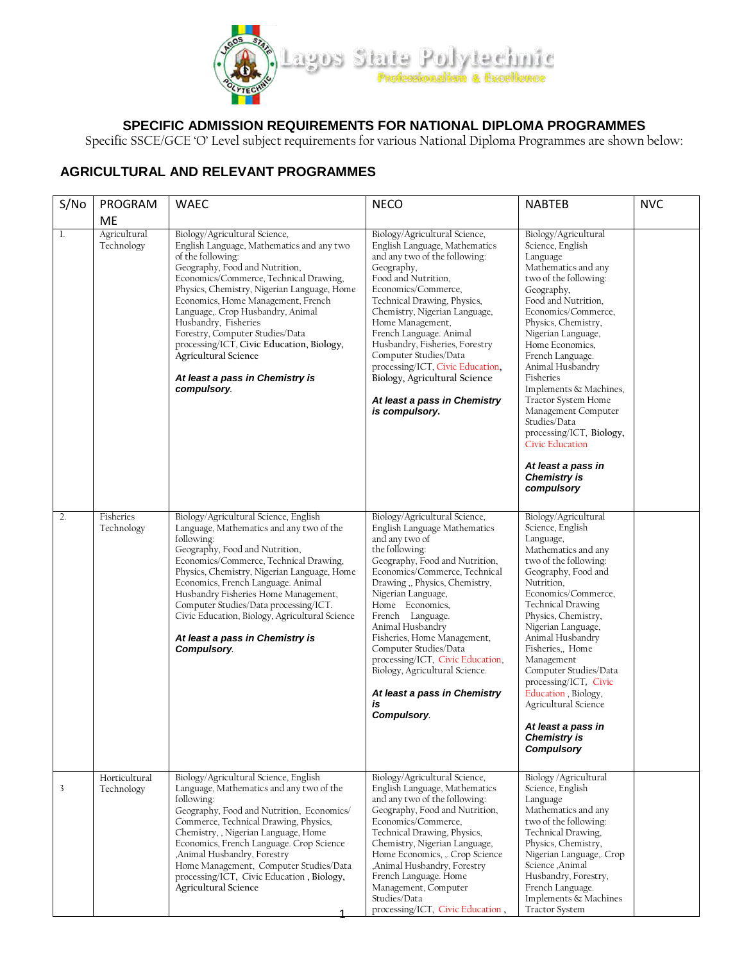

# **SPECIFIC ADMISSION REQUIREMENTS FOR NATIONAL DIPLOMA PROGRAMMES**

Specific SSCE/GCE 'O' Level subject requirements for various National Diploma Programmes are shown below:

# **AGRICULTURAL AND RELEVANT PROGRAMMES**

| S/No | PROGRAM                          | <b>WAEC</b>                                                                                                                                                                                                                                                                                                                                                                                                                                                                             | <b>NECO</b>                                                                                                                                                                                                                                                                                                                                                                                                                                                              | <b>NABTEB</b>                                                                                                                                                                                                                                                                                                                                                                                                                                                                                  | <b>NVC</b> |
|------|----------------------------------|-----------------------------------------------------------------------------------------------------------------------------------------------------------------------------------------------------------------------------------------------------------------------------------------------------------------------------------------------------------------------------------------------------------------------------------------------------------------------------------------|--------------------------------------------------------------------------------------------------------------------------------------------------------------------------------------------------------------------------------------------------------------------------------------------------------------------------------------------------------------------------------------------------------------------------------------------------------------------------|------------------------------------------------------------------------------------------------------------------------------------------------------------------------------------------------------------------------------------------------------------------------------------------------------------------------------------------------------------------------------------------------------------------------------------------------------------------------------------------------|------------|
| 1.   | ME<br>Agricultural<br>Technology | Biology/Agricultural Science,<br>English Language, Mathematics and any two<br>of the following:<br>Geography, Food and Nutrition,<br>Economics/Commerce, Technical Drawing,<br>Physics, Chemistry, Nigerian Language, Home<br>Economics, Home Management, French<br>Language,. Crop Husbandry, Animal<br>Husbandry, Fisheries<br>Forestry, Computer Studies/Data<br>processing/ICT, Civic Education, Biology,<br>Agricultural Science<br>At least a pass in Chemistry is<br>compulsory. | Biology/Agricultural Science,<br>English Language, Mathematics<br>and any two of the following:<br>Geography,<br>Food and Nutrition.<br>Economics/Commerce,<br>Technical Drawing, Physics,<br>Chemistry, Nigerian Language,<br>Home Management,<br>French Language. Animal<br>Husbandry, Fisheries, Forestry<br>Computer Studies/Data<br>processing/ICT, Civic Education,<br>Biology, Agricultural Science<br>At least a pass in Chemistry<br>is compulsory.             | Biology/Agricultural<br>Science, English<br>Language<br>Mathematics and any<br>two of the following:<br>Geography,<br>Food and Nutrition,<br>Economics/Commerce,<br>Physics, Chemistry,<br>Nigerian Language,<br>Home Economics,<br>French Language.<br>Animal Husbandry<br>Fisheries<br>Implements & Machines,<br>Tractor System Home<br>Management Computer<br>Studies/Data<br>processing/ICT, Biology,<br><b>Civic Education</b><br>At least a pass in<br><b>Chemistry is</b><br>compulsory |            |
| 2.   | Fisheries<br>Technology          | Biology/Agricultural Science, English<br>Language, Mathematics and any two of the<br>following:<br>Geography, Food and Nutrition,<br>Economics/Commerce, Technical Drawing,<br>Physics, Chemistry, Nigerian Language, Home<br>Economics, French Language. Animal<br>Husbandry Fisheries Home Management,<br>Computer Studies/Data processing/ICT.<br>Civic Education, Biology, Agricultural Science<br>At least a pass in Chemistry is<br>Compulsory.                                   | Biology/Agricultural Science,<br>English Language Mathematics<br>and any two of<br>the following:<br>Geography, Food and Nutrition,<br>Economics/Commerce, Technical<br>Drawing, Physics, Chemistry,<br>Nigerian Language,<br>Home Economics,<br>French Language.<br>Animal Husbandry<br>Fisheries, Home Management,<br>Computer Studies/Data<br>processing/ICT, Civic Education,<br>Biology, Agricultural Science.<br>At least a pass in Chemistry<br>is<br>Compulsory. | Biology/Agricultural<br>Science, English<br>Language,<br>Mathematics and any<br>two of the following:<br>Geography, Food and<br>Nutrition,<br>Economics/Commerce,<br>Technical Drawing<br>Physics, Chemistry,<br>Nigerian Language,<br>Animal Husbandry<br>Fisheries,, Home<br>Management<br>Computer Studies/Data<br>processing/ICT, Civic<br>Education, Biology,<br>Agricultural Science<br>At least a pass in<br><b>Chemistry is</b><br><b>Compulsory</b>                                   |            |
| 3    | Horticultural<br>Technology      | Biology/Agricultural Science, English<br>Language, Mathematics and any two of the<br>following:<br>Geography, Food and Nutrition, Economics/<br>Commerce, Technical Drawing, Physics,<br>Chemistry, , Nigerian Language, Home<br>Economics, French Language. Crop Science<br>,Animal Husbandry, Forestry<br>Home Management, Computer Studies/Data<br>processing/ICT, Civic Education, Biology,<br>Agricultural Science                                                                 | Biology/Agricultural Science,<br>English Language, Mathematics<br>and any two of the following:<br>Geography, Food and Nutrition,<br>Economics/Commerce,<br>Technical Drawing, Physics,<br>Chemistry, Nigerian Language,<br>Home Economics, "Crop Science<br>,Animal Husbandry, Forestry<br>French Language. Home<br>Management, Computer<br>Studies/Data<br>processing/ICT, Civic Education,                                                                            | Biology / Agricultural<br>Science, English<br>Language<br>Mathematics and any<br>two of the following:<br>Technical Drawing,<br>Physics, Chemistry,<br>Nigerian Language,. Crop<br>Science .Animal<br>Husbandry, Forestry,<br>French Language.<br>Implements & Machines<br><b>Tractor System</b>                                                                                                                                                                                               |            |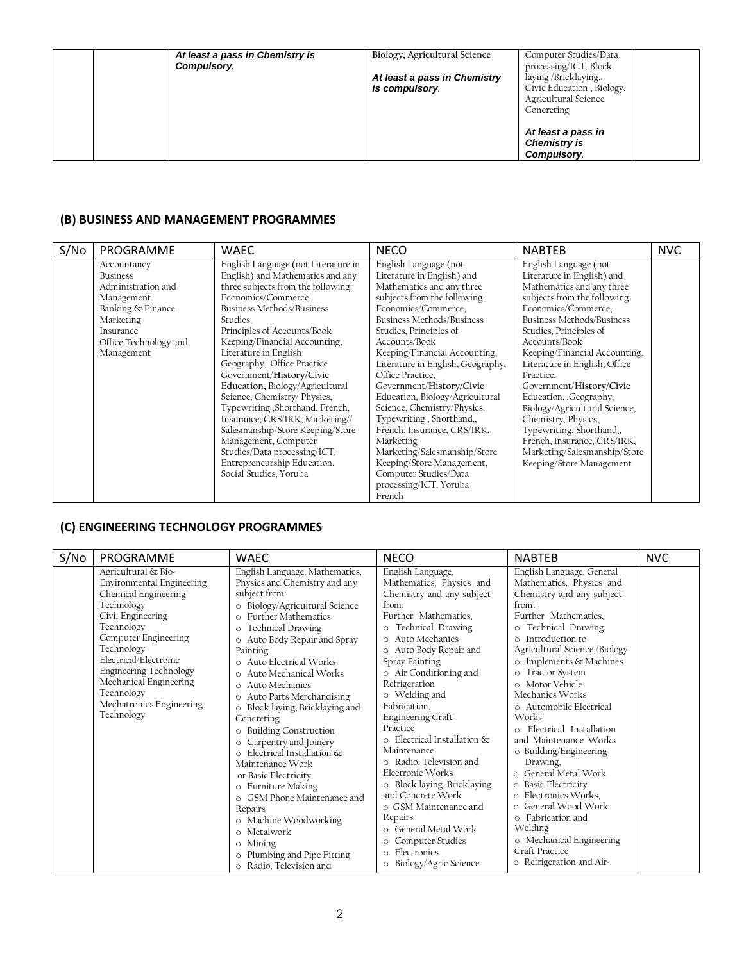| At least a pass in Chemistry is<br>Compulsory. | Biology, Agricultural Science<br>At least a pass in Chemistry<br>is compulsory. | Computer Studies/Data<br>processing/ICT, Block<br>laying/Bricklaying,,<br>Civic Education, Biology,<br>Agricultural Science<br>Concreting |
|------------------------------------------------|---------------------------------------------------------------------------------|-------------------------------------------------------------------------------------------------------------------------------------------|
|                                                |                                                                                 | At least a pass in<br><b>Chemistry is</b><br>Compulsory.                                                                                  |

### **(B) BUSINESS AND MANAGEMENT PROGRAMMES**

| S/No | PROGRAMME             | <b>WAEC</b>                         | <b>NECO</b>                       | <b>NABTEB</b>                 | <b>NVC</b> |
|------|-----------------------|-------------------------------------|-----------------------------------|-------------------------------|------------|
|      | Accountancy           | English Language (not Literature in | English Language (not             | English Language (not         |            |
|      | <b>Business</b>       | English) and Mathematics and any    | Literature in English) and        | Literature in English) and    |            |
|      | Administration and    | three subjects from the following:  | Mathematics and any three         | Mathematics and any three     |            |
|      | Management            | Economics/Commerce,                 | subjects from the following:      | subjects from the following:  |            |
|      | Banking & Finance     | Business Methods/Business           | Economics/Commerce.               | Economics/Commerce.           |            |
|      | Marketing             | Studies.                            | <b>Business Methods/Business</b>  | Business Methods/Business     |            |
|      | Insurance             | Principles of Accounts/Book         | Studies, Principles of            | Studies, Principles of        |            |
|      | Office Technology and | Keeping/Financial Accounting,       | Accounts/Book                     | Accounts/Book                 |            |
|      | Management            | Literature in English               | Keeping/Financial Accounting,     | Keeping/Financial Accounting, |            |
|      |                       | Geography, Office Practice          | Literature in English, Geography, | Literature in English, Office |            |
|      |                       | Government/History/Civic            | Office Practice.                  | Practice.                     |            |
|      |                       | Education, Biology/Agricultural     | Government/History/Civic          | Government/History/Civic      |            |
|      |                       | Science, Chemistry/Physics,         | Education, Biology/Agricultural   | Education, Geography,         |            |
|      |                       | Typewriting , Shorthand, French,    | Science, Chemistry/Physics,       | Biology/Agricultural Science, |            |
|      |                       | Insurance, CRS/IRK, Marketing//     | Typewriting, Shorthand,,          | Chemistry, Physics,           |            |
|      |                       | Salesmanship/Store Keeping/Store    | French, Insurance, CRS/IRK,       | Typewriting, Shorthand,,      |            |
|      |                       | Management, Computer                | Marketing                         | French, Insurance, CRS/IRK,   |            |
|      |                       | Studies/Data processing/ICT,        | Marketing/Salesmanship/Store      | Marketing/Salesmanship/Store  |            |
|      |                       | Entrepreneurship Education.         | Keeping/Store Management,         | Keeping/Store Management      |            |
|      |                       | Social Studies, Yoruba              | Computer Studies/Data             |                               |            |
|      |                       |                                     | processing/ICT, Yoruba            |                               |            |
|      |                       |                                     | French                            |                               |            |

## **(C) ENGINEERING TECHNOLOGY PROGRAMMES**

| S/N <sub>O</sub> | PROGRAMME                                                                                                                                                                                                                                                                                                          | WAEC                                                                                                                                                                                                                                                                                                                                                                                                                                                                                                                                                                                                                                                                                                                                                        | <b>NECO</b>                                                                                                                                                                                                                                                                                                                                                                                                                                                                                                                                                                                           | <b>NABTEB</b>                                                                                                                                                                                                                                                                                                                                                                                                                                                                                                                                                                                                                                                       | <b>NVC</b> |
|------------------|--------------------------------------------------------------------------------------------------------------------------------------------------------------------------------------------------------------------------------------------------------------------------------------------------------------------|-------------------------------------------------------------------------------------------------------------------------------------------------------------------------------------------------------------------------------------------------------------------------------------------------------------------------------------------------------------------------------------------------------------------------------------------------------------------------------------------------------------------------------------------------------------------------------------------------------------------------------------------------------------------------------------------------------------------------------------------------------------|-------------------------------------------------------------------------------------------------------------------------------------------------------------------------------------------------------------------------------------------------------------------------------------------------------------------------------------------------------------------------------------------------------------------------------------------------------------------------------------------------------------------------------------------------------------------------------------------------------|---------------------------------------------------------------------------------------------------------------------------------------------------------------------------------------------------------------------------------------------------------------------------------------------------------------------------------------------------------------------------------------------------------------------------------------------------------------------------------------------------------------------------------------------------------------------------------------------------------------------------------------------------------------------|------------|
|                  | Agricultural & Bio-<br><b>Environmental Engineering</b><br>Chemical Engineering<br>Technology<br>Civil Engineering<br>Technology<br>Computer Engineering<br>Technology<br>Electrical/Electronic<br><b>Engineering Technology</b><br>Mechanical Engineering<br>Technology<br>Mechatronics Engineering<br>Technology | English Language, Mathematics,<br>Physics and Chemistry and any<br>subject from:<br>o Biology/Agricultural Science<br><b>Further Mathematics</b><br>$\circ$<br><b>Technical Drawing</b><br>$\circ$<br>o Auto Body Repair and Spray<br>Painting<br>o Auto Electrical Works<br>Auto Mechanical Works<br>$\circ$<br>Auto Mechanics<br>$\Omega$<br>Auto Parts Merchandising<br>$\circ$<br>o Block laying, Bricklaying and<br>Concreting<br>o Building Construction<br>o Carpentry and Joinery<br>o Electrical Installation &<br>Maintenance Work<br>or Basic Electricity<br>o Furniture Making<br>o GSM Phone Maintenance and<br>Repairs<br>o Machine Woodworking<br>Metalwork<br>$\circ$<br>o Mining<br>o Plumbing and Pipe Fitting<br>o Radio, Television and | English Language,<br>Mathematics, Physics and<br>Chemistry and any subject<br>from:<br>Further Mathematics.<br>o Technical Drawing<br>o Auto Mechanics<br>o Auto Body Repair and<br>Spray Painting<br>o Air Conditioning and<br>Refrigeration<br>o Welding and<br>Fabrication,<br><b>Engineering Craft</b><br>Practice<br>o Electrical Installation &<br>Maintenance<br>o Radio, Television and<br>Electronic Works<br>o Block laying, Bricklaying<br>and Concrete Work<br>o GSM Maintenance and<br>Repairs<br>o General Metal Work<br>o Computer Studies<br>o Electronics<br>o Biology/Agric Science | English Language, General<br>Mathematics, Physics and<br>Chemistry and any subject<br>from:<br>Further Mathematics.<br>o Technical Drawing<br>Introduction to<br>Agricultural Science,/Biology<br>o Implements & Machines<br><b>Tractor System</b><br>$\circ$<br>o Motor Vehicle<br>Mechanics Works<br>o Automobile Electrical<br>Works<br>Electrical Installation<br>$\Omega$<br>and Maintenance Works<br>o Building/Engineering<br>Drawing,<br>General Metal Work<br>o Basic Electricity<br>Electronics Works,<br>$\Omega$<br>o General Wood Work<br>o Fabrication and<br>Welding<br>o Mechanical Engineering<br>Craft Practice<br>$\circ$ Refrigeration and Air- |            |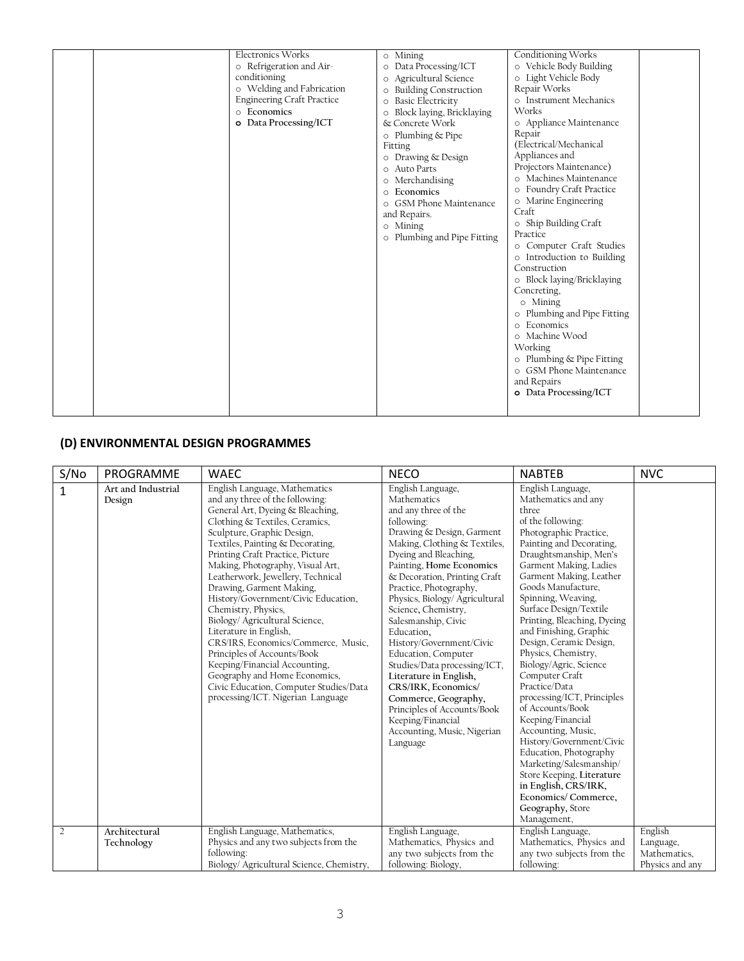| Electronics Works<br>o Refrigeration and Air-<br>conditioning<br>o Welding and Fabrication<br><b>Engineering Craft Practice</b><br>o Economics<br>o Data Processing/ICT | o Mining<br>o Data Processing/ICT<br>o Agricultural Science<br>o Building Construction<br>o Basic Electricity<br>o Block laying, Bricklaying<br>& Concrete Work<br>$\circ$ Plumbing & Pipe<br>Fitting<br>o Drawing & Design<br>o Auto Parts<br>o Merchandising<br>o Economics<br>o GSM Phone Maintenance<br>and Repairs.<br>o Mining<br>o Plumbing and Pipe Fitting | Conditioning Works<br>o Vehicle Body Building<br>o Light Vehicle Body<br>Repair Works<br>o Instrument Mechanics<br>Works<br>o Appliance Maintenance<br>Repair<br>(Electrical/Mechanical<br>Appliances and<br>Projectors Maintenance)<br>o Machines Maintenance<br>o Foundry Craft Practice<br>o Marine Engineering<br>Craft<br>o Ship Building Craft<br>Practice<br>o Computer Craft Studies<br>o Introduction to Building<br>Construction<br>o Block laying/Bricklaying<br>Concreting,<br>o Mining<br>o Plumbing and Pipe Fitting<br>o Economics<br>o Machine Wood<br>Working<br>o Plumbing & Pipe Fitting<br>o GSM Phone Maintenance<br>and Repairs |
|-------------------------------------------------------------------------------------------------------------------------------------------------------------------------|---------------------------------------------------------------------------------------------------------------------------------------------------------------------------------------------------------------------------------------------------------------------------------------------------------------------------------------------------------------------|-------------------------------------------------------------------------------------------------------------------------------------------------------------------------------------------------------------------------------------------------------------------------------------------------------------------------------------------------------------------------------------------------------------------------------------------------------------------------------------------------------------------------------------------------------------------------------------------------------------------------------------------------------|
|-------------------------------------------------------------------------------------------------------------------------------------------------------------------------|---------------------------------------------------------------------------------------------------------------------------------------------------------------------------------------------------------------------------------------------------------------------------------------------------------------------------------------------------------------------|-------------------------------------------------------------------------------------------------------------------------------------------------------------------------------------------------------------------------------------------------------------------------------------------------------------------------------------------------------------------------------------------------------------------------------------------------------------------------------------------------------------------------------------------------------------------------------------------------------------------------------------------------------|

## **(D) ENVIRONMENTAL DESIGN PROGRAMMES**

| S/No         | PROGRAMME                    | <b>WAEC</b>                                                                                                                                                                                                                                                                                                                                                                                                                                                                                                                                                                                                                                                                                        | <b>NECO</b>                                                                                                                                                                                                                                                                                                                                                                                                                                                                                                                                                                                                 | <b>NABTEB</b>                                                                                                                                                                                                                                                                                                                                                                                                                                                                                                                                                                                                                                                                                                                                          | <b>NVC</b>                                              |
|--------------|------------------------------|----------------------------------------------------------------------------------------------------------------------------------------------------------------------------------------------------------------------------------------------------------------------------------------------------------------------------------------------------------------------------------------------------------------------------------------------------------------------------------------------------------------------------------------------------------------------------------------------------------------------------------------------------------------------------------------------------|-------------------------------------------------------------------------------------------------------------------------------------------------------------------------------------------------------------------------------------------------------------------------------------------------------------------------------------------------------------------------------------------------------------------------------------------------------------------------------------------------------------------------------------------------------------------------------------------------------------|--------------------------------------------------------------------------------------------------------------------------------------------------------------------------------------------------------------------------------------------------------------------------------------------------------------------------------------------------------------------------------------------------------------------------------------------------------------------------------------------------------------------------------------------------------------------------------------------------------------------------------------------------------------------------------------------------------------------------------------------------------|---------------------------------------------------------|
| $\mathbf{1}$ | Art and Industrial<br>Design | English Language, Mathematics<br>and any three of the following:<br>General Art, Dyeing & Bleaching,<br>Clothing & Textiles, Ceramics,<br>Sculpture, Graphic Design,<br>Textiles, Painting & Decorating,<br>Printing Craft Practice, Picture<br>Making, Photography, Visual Art,<br>Leatherwork, Jewellery, Technical<br>Drawing, Garment Making,<br>History/Government/Civic Education,<br>Chemistry, Physics,<br>Biology/ Agricultural Science,<br>Literature in English,<br>CRS/IRS, Economics/Commerce, Music,<br>Principles of Accounts/Book<br>Keeping/Financial Accounting,<br>Geography and Home Economics,<br>Civic Education, Computer Studies/Data<br>processing/ICT. Nigerian Language | English Language,<br>Mathematics<br>and any three of the<br>following:<br>Drawing & Design, Garment<br>Making, Clothing & Textiles,<br>Dyeing and Bleaching,<br>Painting, Home Economics<br>& Decoration, Printing Craft<br>Practice, Photography,<br>Physics, Biology/ Agricultural<br>Science, Chemistry,<br>Salesmanship, Civic<br>Education.<br>History/Government/Civic<br>Education, Computer<br>Studies/Data processing/ICT,<br>Literature in English,<br>CRS/IRK, Economics/<br>Commerce, Geography,<br>Principles of Accounts/Book<br>Keeping/Financial<br>Accounting, Music, Nigerian<br>Language | English Language,<br>Mathematics and any<br>three<br>of the following:<br>Photographic Practice,<br>Painting and Decorating,<br>Draughtsmanship, Men's<br>Garment Making, Ladies<br>Garment Making, Leather<br>Goods Manufacture,<br>Spinning, Weaving,<br>Surface Design/Textile<br>Printing, Bleaching, Dyeing<br>and Finishing, Graphic<br>Design, Ceramic Design,<br>Physics, Chemistry,<br>Biology/Agric, Science<br>Computer Craft<br>Practice/Data<br>processing/ICT, Principles<br>of Accounts/Book<br>Keeping/Financial<br>Accounting, Music,<br>History/Government/Civic<br>Education, Photography<br>Marketing/Salesmanship/<br>Store Keeping, Literature<br>in English, CRS/IRK,<br>Economics/Commerce,<br>Geography, Store<br>Management, |                                                         |
| 2            | Architectural<br>Technology  | English Language, Mathematics,<br>Physics and any two subjects from the<br>following:<br>Biology/ Agricultural Science, Chemistry,                                                                                                                                                                                                                                                                                                                                                                                                                                                                                                                                                                 | English Language,<br>Mathematics, Physics and<br>any two subjects from the<br>following: Biology,                                                                                                                                                                                                                                                                                                                                                                                                                                                                                                           | English Language,<br>Mathematics, Physics and<br>any two subjects from the<br>following:                                                                                                                                                                                                                                                                                                                                                                                                                                                                                                                                                                                                                                                               | English<br>Language,<br>Mathematics,<br>Physics and any |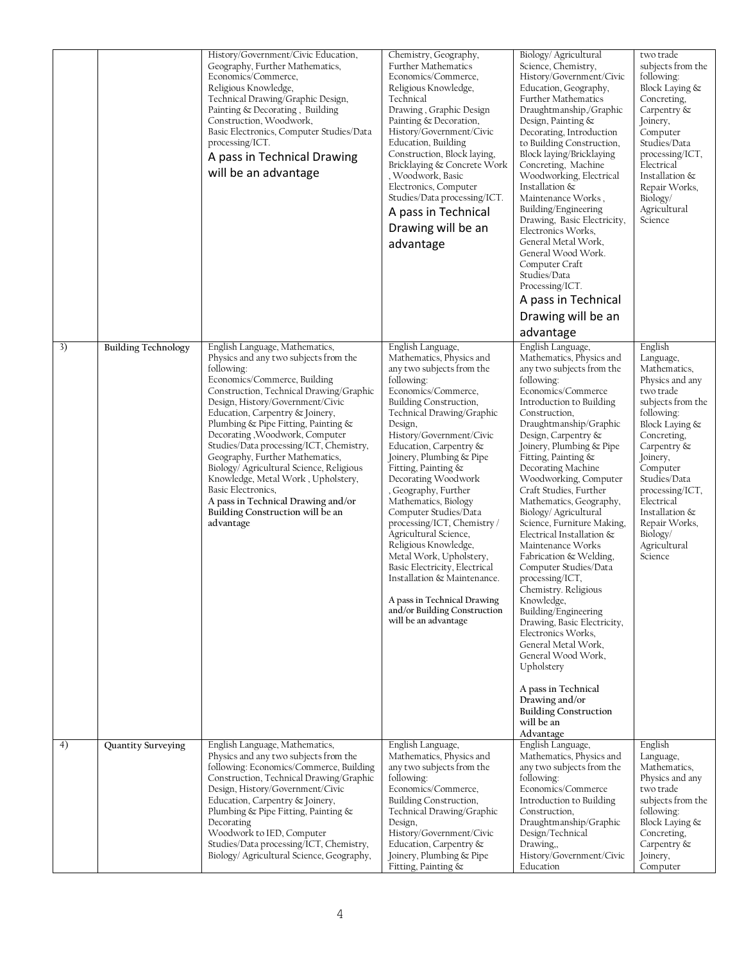|    |                            | History/Government/Civic Education,<br>Geography, Further Mathematics,<br>Economics/Commerce,<br>Religious Knowledge,<br>Technical Drawing/Graphic Design,<br>Painting & Decorating, Building<br>Construction, Woodwork,<br>Basic Electronics, Computer Studies/Data<br>processing/ICT.<br>A pass in Technical Drawing<br>will be an advantage                                                                                                                                                                                                                                                | Chemistry, Geography,<br><b>Further Mathematics</b><br>Economics/Commerce,<br>Religious Knowledge,<br>Technical<br>Drawing, Graphic Design<br>Painting & Decoration,<br>History/Government/Civic<br>Education, Building<br>Construction, Block laying,<br>Bricklaying & Concrete Work<br>, Woodwork, Basic<br>Electronics, Computer<br>Studies/Data processing/ICT.<br>A pass in Technical<br>Drawing will be an<br>advantage                                                                                                                                                                                                                                | Biology/ Agricultural<br>Science, Chemistry,<br>History/Government/Civic<br>Education, Geography,<br>Further Mathematics<br>Draughtmanship,/Graphic<br>Design, Painting &<br>Decorating, Introduction<br>to Building Construction,<br>Block laying/Bricklaying<br>Concreting, Machine<br>Woodworking, Electrical<br>Installation &<br>Maintenance Works,<br>Building/Engineering<br>Drawing, Basic Electricity,<br>Electronics Works,<br>General Metal Work,<br>General Wood Work.<br>Computer Craft<br>Studies/Data<br>Processing/ICT.<br>A pass in Technical<br>Drawing will be an<br>advantage                                                                                                                                                                                                                                    | two trade<br>subjects from the<br>following:<br>Block Laying &<br>Concreting,<br>Carpentry &<br>Joinery,<br>Computer<br>Studies/Data<br>processing/ICT,<br>Electrical<br>Installation &<br>Repair Works,<br>Biology/<br>Agricultural<br>Science                                                            |
|----|----------------------------|-----------------------------------------------------------------------------------------------------------------------------------------------------------------------------------------------------------------------------------------------------------------------------------------------------------------------------------------------------------------------------------------------------------------------------------------------------------------------------------------------------------------------------------------------------------------------------------------------|--------------------------------------------------------------------------------------------------------------------------------------------------------------------------------------------------------------------------------------------------------------------------------------------------------------------------------------------------------------------------------------------------------------------------------------------------------------------------------------------------------------------------------------------------------------------------------------------------------------------------------------------------------------|--------------------------------------------------------------------------------------------------------------------------------------------------------------------------------------------------------------------------------------------------------------------------------------------------------------------------------------------------------------------------------------------------------------------------------------------------------------------------------------------------------------------------------------------------------------------------------------------------------------------------------------------------------------------------------------------------------------------------------------------------------------------------------------------------------------------------------------|------------------------------------------------------------------------------------------------------------------------------------------------------------------------------------------------------------------------------------------------------------------------------------------------------------|
| 3) | <b>Building Technology</b> | English Language, Mathematics,<br>Physics and any two subjects from the<br>following:<br>Economics/Commerce, Building<br>Construction, Technical Drawing/Graphic<br>Design, History/Government/Civic<br>Education, Carpentry & Joinery,<br>Plumbing & Pipe Fitting, Painting &<br>Decorating, Woodwork, Computer<br>Studies/Data processing/ICT, Chemistry,<br>Geography, Further Mathematics,<br>Biology/ Agricultural Science, Religious<br>Knowledge, Metal Work, Upholstery,<br>Basic Electronics,<br>A pass in Technical Drawing and/or<br>Building Construction will be an<br>advantage | English Language,<br>Mathematics, Physics and<br>any two subjects from the<br>following:<br>Economics/Commerce,<br>Building Construction,<br>Technical Drawing/Graphic<br>Design,<br>History/Government/Civic<br>Education, Carpentry &<br>Joinery, Plumbing & Pipe<br>Fitting, Painting &<br>Decorating Woodwork<br>, Geography, Further<br>Mathematics, Biology<br>Computer Studies/Data<br>processing/ICT, Chemistry /<br>Agricultural Science,<br>Religious Knowledge,<br>Metal Work, Upholstery,<br>Basic Electricity, Electrical<br>Installation & Maintenance.<br>A pass in Technical Drawing<br>and/or Building Construction<br>will be an advantage | English Language,<br>Mathematics, Physics and<br>any two subjects from the<br>following:<br>Economics/Commerce<br>Introduction to Building<br>Construction,<br>Draughtmanship/Graphic<br>Design, Carpentry &<br>Joinery, Plumbing & Pipe<br>Fitting, Painting &<br>Decorating Machine<br>Woodworking, Computer<br>Craft Studies, Further<br>Mathematics, Geography,<br>Biology/ Agricultural<br>Science, Furniture Making,<br>Electrical Installation &<br>Maintenance Works<br>Fabrication & Welding,<br>Computer Studies/Data<br>processing/ICT,<br>Chemistry. Religious<br>Knowledge,<br>Building/Engineering<br>Drawing, Basic Electricity,<br>Electronics Works.<br>General Metal Work,<br>General Wood Work,<br>Upholstery<br>A pass in Technical<br>Drawing and/or<br><b>Building Construction</b><br>will be an<br>Advantage | English<br>Language,<br>Mathematics,<br>Physics and any<br>two trade<br>subjects from the<br>following:<br>Block Laying &<br>Concreting,<br>Carpentry &<br>Joinery,<br>Computer<br>Studies/Data<br>processing/ICT,<br>Electrical<br>Installation &<br>Repair Works,<br>Biology/<br>Agricultural<br>Science |
| 4) | Quantity Surveying         | English Language, Mathematics,<br>Physics and any two subjects from the<br>following: Economics/Commerce, Building<br>Construction, Technical Drawing/Graphic<br>Design, History/Government/Civic<br>Education, Carpentry & Joinery,<br>Plumbing & Pipe Fitting, Painting &<br>Decorating<br>Woodwork to IED, Computer<br>Studies/Data processing/ICT, Chemistry,<br>Biology/ Agricultural Science, Geography,                                                                                                                                                                                | English Language,<br>Mathematics, Physics and<br>any two subjects from the<br>following:<br>Economics/Commerce,<br>Building Construction,<br>Technical Drawing/Graphic<br>Design,<br>History/Government/Civic<br>Education, Carpentry &<br>Joinery, Plumbing & Pipe<br>Fitting, Painting &                                                                                                                                                                                                                                                                                                                                                                   | English Language,<br>Mathematics, Physics and<br>any two subjects from the<br>following:<br>Economics/Commerce<br>Introduction to Building<br>Construction,<br>Draughtmanship/Graphic<br>Design/Technical<br>Drawing,<br>History/Government/Civic<br>Education                                                                                                                                                                                                                                                                                                                                                                                                                                                                                                                                                                       | English<br>Language,<br>Mathematics,<br>Physics and any<br>two trade<br>subjects from the<br>following:<br>Block Laying &<br>Concreting,<br>Carpentry &<br>Joinery,<br>Computer                                                                                                                            |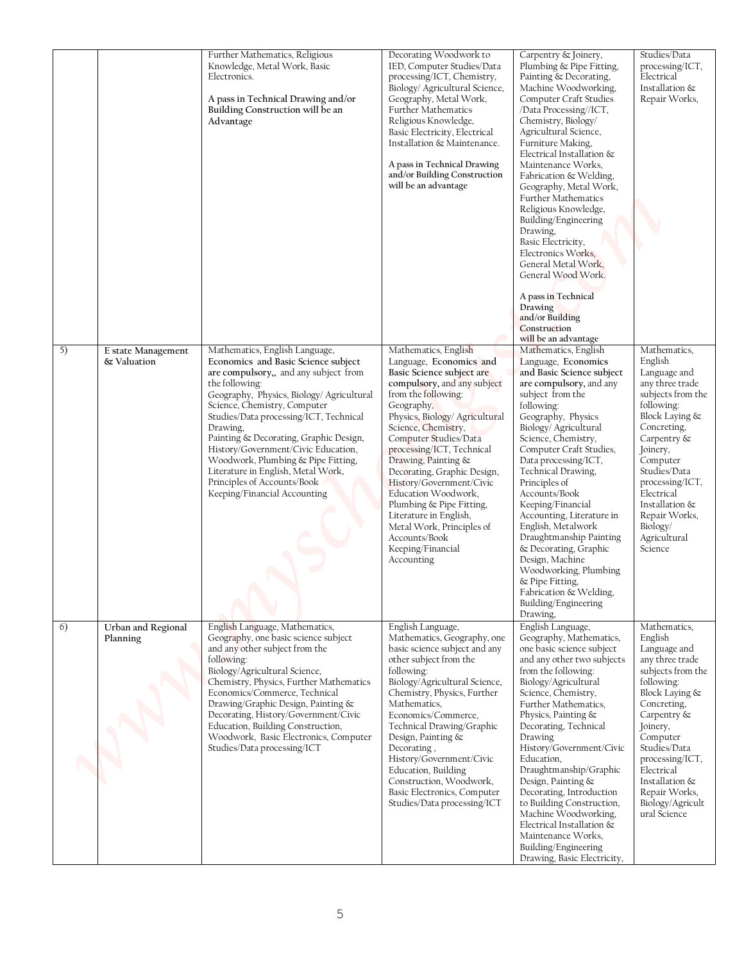|    |                                   | Further Mathematics, Religious<br>Knowledge, Metal Work, Basic                                                                                                                                                                                                                                                                                                                                                                                                                                  | Decorating Woodwork to<br>IED, Computer Studies/Data                                                                                                                                                                                                                                                                                                                                                                                                                                                            | Carpentry & Joinery,<br>Plumbing & Pipe Fitting,                                                                                                                                                                                                                                                                                                                                                                                                                                                                                                                                | Studies/Data<br>processing/ICT,                                                                                                                                                                                                                                                                  |
|----|-----------------------------------|-------------------------------------------------------------------------------------------------------------------------------------------------------------------------------------------------------------------------------------------------------------------------------------------------------------------------------------------------------------------------------------------------------------------------------------------------------------------------------------------------|-----------------------------------------------------------------------------------------------------------------------------------------------------------------------------------------------------------------------------------------------------------------------------------------------------------------------------------------------------------------------------------------------------------------------------------------------------------------------------------------------------------------|---------------------------------------------------------------------------------------------------------------------------------------------------------------------------------------------------------------------------------------------------------------------------------------------------------------------------------------------------------------------------------------------------------------------------------------------------------------------------------------------------------------------------------------------------------------------------------|--------------------------------------------------------------------------------------------------------------------------------------------------------------------------------------------------------------------------------------------------------------------------------------------------|
|    |                                   | Electronics.<br>A pass in Technical Drawing and/or<br>Building Construction will be an<br>Advantage                                                                                                                                                                                                                                                                                                                                                                                             | processing/ICT, Chemistry,<br>Biology/ Agricultural Science,<br>Geography, Metal Work,<br>Further Mathematics<br>Religious Knowledge,<br>Basic Electricity, Electrical<br>Installation & Maintenance.<br>A pass in Technical Drawing<br>and/or Building Construction<br>will be an advantage                                                                                                                                                                                                                    | Painting & Decorating,<br>Machine Woodworking,<br>Computer Craft Studies<br>/Data Processing//ICT,<br>Chemistry, Biology/<br>Agricultural Science,<br>Furniture Making,<br>Electrical Installation &<br>Maintenance Works,<br>Fabrication & Welding,<br>Geography, Metal Work,<br>Further Mathematics<br>Religious Knowledge,<br>Building/Engineering<br>Drawing,<br>Basic Electricity,<br>Electronics Works,<br>General Metal Work,<br>General Wood Work.<br>A pass in Technical                                                                                               | Electrical<br>Installation &<br>Repair Works,                                                                                                                                                                                                                                                    |
|    |                                   |                                                                                                                                                                                                                                                                                                                                                                                                                                                                                                 |                                                                                                                                                                                                                                                                                                                                                                                                                                                                                                                 | Drawing<br>and/or Building<br>Construction<br>will be an advantage                                                                                                                                                                                                                                                                                                                                                                                                                                                                                                              |                                                                                                                                                                                                                                                                                                  |
| 5) | E state Management<br>& Valuation | Mathematics, English Language,<br>Economics and Basic Science subject<br>are compulsory,, and any subject from<br>the following:<br>Geography, Physics, Biology/ Agricultural<br>Science, Chemistry, Computer<br>Studies/Data processing/ICT, Technical<br>Drawing,<br>Painting & Decorating, Graphic Design,<br>History/Government/Civic Education,<br>Woodwork, Plumbing & Pipe Fitting,<br>Literature in English, Metal Work,<br>Principles of Accounts/Book<br>Keeping/Financial Accounting | Mathematics, English<br>Language, Economics and<br>Basic Science subject are<br>compulsory, and any subject<br>from the following:<br>Geography,<br>Physics, Biology/ Agricultural<br>Science, Chemistry,<br>Computer Studies/Data<br>processing/ICT, Technical<br>Drawing, Painting &<br>Decorating, Graphic Design,<br>History/Government/Civic<br>Education Woodwork,<br>Plumbing & Pipe Fitting,<br>Literature in English,<br>Metal Work, Principles of<br>Accounts/Book<br>Keeping/Financial<br>Accounting | Mathematics, English<br>Language, Economics<br>and Basic Science subject<br>are compulsory, and any<br>subject from the<br>following:<br>Geography, Physics<br>Biology/ Agricultural<br>Science, Chemistry,<br>Computer Craft Studies,<br>Data processing/ICT,<br>Technical Drawing,<br>Principles of<br>Accounts/Book<br>Keeping/Financial<br>Accounting, Literature in<br>English, Metalwork<br>Draughtmanship Painting<br>& Decorating, Graphic<br>Design, Machine<br>Woodworking, Plumbing<br>& Pipe Fitting,<br>Fabrication & Welding,<br>Building/Engineering<br>Drawing, | Mathematics,<br>English<br>Language and<br>any three trade<br>subjects from the<br>following:<br>Block Laying &<br>Concreting,<br>Carpentry &<br>Joinery,<br>Computer<br>Studies/Data<br>processing/ICT,<br>Electrical<br>Installation &<br>Repair Works,<br>Biology/<br>Agricultural<br>Science |
| 6) | Urban and Regional<br>Planning    | English Language, Mathematics,<br>Geography, one basic science subject<br>and any other subject from the<br>following:<br>Biology/Agricultural Science,<br>Chemistry, Physics, Further Mathematics<br>Economics/Commerce, Technical<br>Drawing/Graphic Design, Painting &<br>Decorating, History/Government/Civic<br>Education, Building Construction,<br>Woodwork, Basic Electronics, Computer<br>Studies/Data processing/ICT                                                                  | English Language,<br>Mathematics, Geography, one<br>basic science subject and any<br>other subject from the<br>following:<br>Biology/Agricultural Science,<br>Chemistry, Physics, Further<br>Mathematics,<br>Economics/Commerce,<br>Technical Drawing/Graphic<br>Design, Painting &<br>Decorating,<br>History/Government/Civic<br>Education, Building<br>Construction, Woodwork,<br>Basic Electronics, Computer<br>Studies/Data processing/ICT                                                                  | English Language,<br>Geography, Mathematics,<br>one basic science subject<br>and any other two subjects<br>from the following:<br>Biology/Agricultural<br>Science, Chemistry,<br>Further Mathematics,<br>Physics, Painting &<br>Decorating, Technical<br>Drawing<br>History/Government/Civic<br>Education,<br>Draughtmanship/Graphic<br>Design, Painting &<br>Decorating, Introduction<br>to Building Construction,<br>Machine Woodworking,<br>Electrical Installation &<br>Maintenance Works,<br>Building/Engineering                                                          | Mathematics,<br>English<br>Language and<br>any three trade<br>subjects from the<br>following:<br>Block Laying &<br>Concreting,<br>Carpentry &<br>Joinery,<br>Computer<br>Studies/Data<br>processing/ICT,<br>Electrical<br>Installation &<br>Repair Works,<br>Biology/Agricult<br>ural Science    |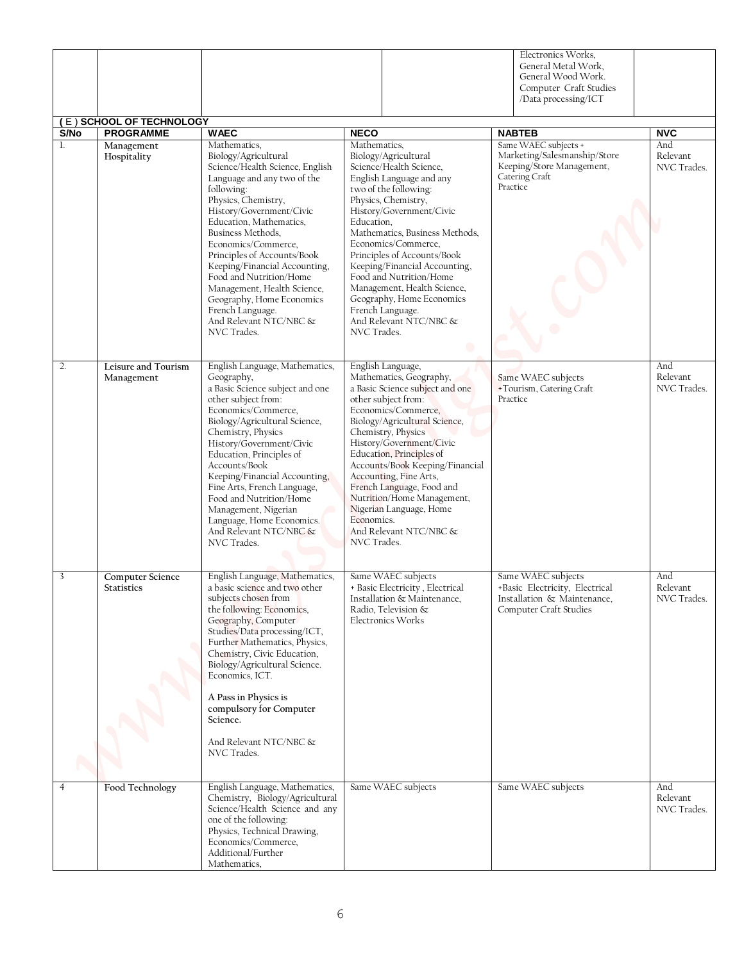|                         | (E) SCHOOL OF TECHNOLOGY              |                                                                                                                                                                                                                                                                                                                                                                                                                                                                    |                                                                                                                                                                                                                                                                                                                                                                                                                                                                    |          | Electronics Works,<br>General Metal Work,<br>General Wood Work.<br>Computer Craft Studies<br>/Data processing/ICT |                                |
|-------------------------|---------------------------------------|--------------------------------------------------------------------------------------------------------------------------------------------------------------------------------------------------------------------------------------------------------------------------------------------------------------------------------------------------------------------------------------------------------------------------------------------------------------------|--------------------------------------------------------------------------------------------------------------------------------------------------------------------------------------------------------------------------------------------------------------------------------------------------------------------------------------------------------------------------------------------------------------------------------------------------------------------|----------|-------------------------------------------------------------------------------------------------------------------|--------------------------------|
| S/No                    | <b>PROGRAMME</b>                      | <b>WAEC</b>                                                                                                                                                                                                                                                                                                                                                                                                                                                        | <b>NECO</b>                                                                                                                                                                                                                                                                                                                                                                                                                                                        |          | <b>NABTEB</b>                                                                                                     | <b>NVC</b>                     |
| 1.                      | Management<br>Hospitality             | Mathematics,<br>Biology/Agricultural<br>Science/Health Science, English<br>Language and any two of the<br>following:<br>Physics, Chemistry,<br>History/Government/Civic<br>Education, Mathematics,<br>Business Methods.<br>Economics/Commerce,<br>Principles of Accounts/Book<br>Keeping/Financial Accounting,<br>Food and Nutrition/Home<br>Management, Health Science,<br>Geography, Home Economics<br>French Language.<br>And Relevant NTC/NBC &<br>NVC Trades. | Mathematics,<br>Biology/Agricultural<br>Science/Health Science,<br>English Language and any<br>two of the following:<br>Physics, Chemistry,<br>History/Government/Civic<br>Education,<br>Mathematics, Business Methods.<br>Economics/Commerce.<br>Principles of Accounts/Book<br>Keeping/Financial Accounting,<br>Food and Nutrition/Home<br>Management, Health Science,<br>Geography, Home Economics<br>French Language.<br>And Relevant NTC/NBC &<br>NVC Trades. | Practice | Same WAEC subjects +<br>Marketing/Salesmanship/Store<br>Keeping/Store Management,<br>Catering Craft               | And<br>Relevant<br>NVC Trades. |
| 2.                      | Leisure and Tourism<br>Management     | English Language, Mathematics,<br>Geography,<br>a Basic Science subject and one<br>other subject from:<br>Economics/Commerce,<br>Biology/Agricultural Science,<br>Chemistry, Physics<br>History/Government/Civic<br>Education, Principles of<br>Accounts/Book<br>Keeping/Financial Accounting,<br>Fine Arts, French Language,<br>Food and Nutrition/Home<br>Management, Nigerian<br>Language, Home Economics.<br>And Relevant NTC/NBC &<br>NVC Trades.             | English Language,<br>Mathematics, Geography,<br>a Basic Science subject and one<br>other subject from:<br>Economics/Commerce,<br>Biology/Agricultural Science,<br>Chemistry, Physics<br>History/Government/Civic<br>Education, Principles of<br>Accounts/Book Keeping/Financial<br>Accounting, Fine Arts,<br>French Language, Food and<br>Nutrition/Home Management,<br>Nigerian Language, Home<br>Economics.<br>And Relevant NTC/NBC &<br>NVC Trades.             | Practice | Same WAEC subjects<br>+Tourism, Catering Craft                                                                    | And<br>Relevant<br>NVC Trades. |
| $\overline{\mathbf{3}}$ | Computer Science<br><b>Statistics</b> | English Language, Mathematics,<br>a basic science and two other<br>subjects chosen from<br>the following: Economics,<br>Geography, Computer<br>Studies/Data processing/ICT,<br>Further Mathematics, Physics,<br>Chemistry, Civic Education,<br>Biology/Agricultural Science.<br>Economics, ICT.<br>A Pass in Physics is<br>compulsory for Computer<br>Science.<br>And Relevant NTC/NBC &<br>NVC Trades.                                                            | Same WAEC subjects<br>+ Basic Electricity, Electrical<br>Installation & Maintenance,<br>Radio, Television &<br><b>Electronics Works</b>                                                                                                                                                                                                                                                                                                                            |          | Same WAEC subjects<br>+Basic Electricity, Electrical<br>Installation & Maintenance,<br>Computer Craft Studies     | And<br>Relevant<br>NVC Trades. |
| $\overline{4}$          | Food Technology                       | English Language, Mathematics,<br>Chemistry, Biology/Agricultural<br>Science/Health Science and any<br>one of the following:<br>Physics, Technical Drawing,<br>Economics/Commerce,<br>Additional/Further<br>Mathematics,                                                                                                                                                                                                                                           | Same WAEC subjects                                                                                                                                                                                                                                                                                                                                                                                                                                                 |          | Same WAEC subjects                                                                                                | And<br>Relevant<br>NVC Trades. |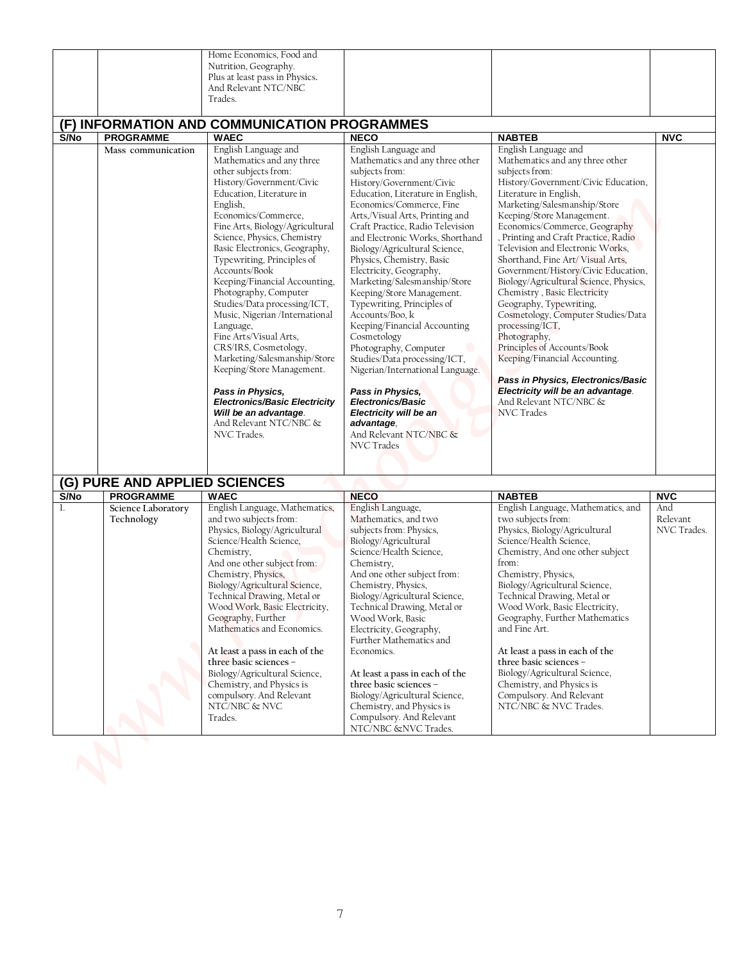|      |                                  | Home Economics, Food and<br>Nutrition, Geography.<br>Plus at least pass in Physics.<br>And Relevant NTC/NBC<br>Trades.<br>(F) INFORMATION AND COMMUNICATION PROGRAMMES                                                                                                                                                                                                                                                                                                                                                                                                                                                                                                                                        |                                                                                                                                                                                                                                                                                                                                                                                                                                                                                                                                                                                                                                                                                                                                                              |                                                                                                                                                                                                                                                                                                                                                                                                                                                                                                                                                                                                                                                                                                                                                                         |                                |
|------|----------------------------------|---------------------------------------------------------------------------------------------------------------------------------------------------------------------------------------------------------------------------------------------------------------------------------------------------------------------------------------------------------------------------------------------------------------------------------------------------------------------------------------------------------------------------------------------------------------------------------------------------------------------------------------------------------------------------------------------------------------|--------------------------------------------------------------------------------------------------------------------------------------------------------------------------------------------------------------------------------------------------------------------------------------------------------------------------------------------------------------------------------------------------------------------------------------------------------------------------------------------------------------------------------------------------------------------------------------------------------------------------------------------------------------------------------------------------------------------------------------------------------------|-------------------------------------------------------------------------------------------------------------------------------------------------------------------------------------------------------------------------------------------------------------------------------------------------------------------------------------------------------------------------------------------------------------------------------------------------------------------------------------------------------------------------------------------------------------------------------------------------------------------------------------------------------------------------------------------------------------------------------------------------------------------------|--------------------------------|
| S/No | <b>PROGRAMME</b>                 | <b>WAEC</b>                                                                                                                                                                                                                                                                                                                                                                                                                                                                                                                                                                                                                                                                                                   | <b>NECO</b>                                                                                                                                                                                                                                                                                                                                                                                                                                                                                                                                                                                                                                                                                                                                                  | <b>NABTEB</b>                                                                                                                                                                                                                                                                                                                                                                                                                                                                                                                                                                                                                                                                                                                                                           | <b>NVC</b>                     |
|      | Mass communication               | English Language and<br>Mathematics and any three<br>other subjects from:<br>History/Government/Civic<br>Education, Literature in<br>English,<br>Economics/Commerce,<br>Fine Arts, Biology/Agricultural<br>Science, Physics, Chemistry<br>Basic Electronics, Geography,<br>Typewriting, Principles of<br>Accounts/Book<br>Keeping/Financial Accounting,<br>Photography, Computer<br>Studies/Data processing/ICT,<br>Music, Nigerian /International<br>Language,<br>Fine Arts/Visual Arts,<br>CRS/IRS, Cosmetology,<br>Marketing/Salesmanship/Store<br>Keeping/Store Management.<br>Pass in Physics,<br><b>Electronics/Basic Electricity</b><br>Will be an advantage.<br>And Relevant NTC/NBC &<br>NVC Trades. | English Language and<br>Mathematics and any three other<br>subjects from:<br>History/Government/Civic<br>Education, Literature in English,<br>Economics/Commerce, Fine<br>Arts,/Visual Arts, Printing and<br>Craft Practice, Radio Television<br>and Electronic Works, Shorthand<br>Biology/Agricultural Science,<br>Physics, Chemistry, Basic<br>Electricity, Geography,<br>Marketing/Salesmanship/Store<br>Keeping/Store Management.<br>Typewriting, Principles of<br>Accounts/Boo, k<br>Keeping/Financial Accounting<br>Cosmetology<br>Photography, Computer<br>Studies/Data processing/ICT,<br>Nigerian/International Language.<br>Pass in Physics,<br>Electronics/Basic<br>Electricity will be an<br>advantage,<br>And Relevant NTC/NBC &<br>NVC Trades | English Language and<br>Mathematics and any three other<br>subjects from:<br>History/Government/Civic Education,<br>Literature in English,<br>Marketing/Salesmanship/Store<br>Keeping/Store Management.<br>Economics/Commerce, Geography<br>, Printing and Craft Practice, Radio<br>Television and Electronic Works,<br>Shorthand, Fine Art/Visual Arts,<br>Government/History/Civic Education,<br>Biology/Agricultural Science, Physics,<br>Chemistry, Basic Electricity<br>Geography, Typewriting,<br>Cosmetology, Computer Studies/Data<br>processing/ICT,<br>Photography,<br>Principles of Accounts/Book<br>Keeping/Financial Accounting.<br>Pass in Physics, Electronics/Basic<br>Electricity will be an advantage.<br>And Relevant NTC/NBC &<br><b>NVC</b> Trades |                                |
|      | (G) PURE AND APPLIED SCIENCES    |                                                                                                                                                                                                                                                                                                                                                                                                                                                                                                                                                                                                                                                                                                               |                                                                                                                                                                                                                                                                                                                                                                                                                                                                                                                                                                                                                                                                                                                                                              |                                                                                                                                                                                                                                                                                                                                                                                                                                                                                                                                                                                                                                                                                                                                                                         |                                |
| S/No | <b>PROGRAMME</b>                 | <b>WAEC</b>                                                                                                                                                                                                                                                                                                                                                                                                                                                                                                                                                                                                                                                                                                   | <b>NECO</b>                                                                                                                                                                                                                                                                                                                                                                                                                                                                                                                                                                                                                                                                                                                                                  | <b>NABTEB</b>                                                                                                                                                                                                                                                                                                                                                                                                                                                                                                                                                                                                                                                                                                                                                           | <b>NVC</b>                     |
|      | Science Laboratory<br>Technology | English Language, Mathematics,<br>and two subjects from:<br>Physics, Biology/Agricultural<br>Science/Health Science,<br>Chemistry,<br>And one other subject from:<br>Chemistry, Physics,<br>Biology/Agricultural Science,<br>Technical Drawing, Metal or<br>Wood Work, Basic Electricity,<br>Geography, Further<br>Mathematics and Economics.<br>At least a pass in each of the<br>three basic sciences -<br>Biology/Agricultural Science,<br>Chemistry, and Physics is<br>compulsory. And Relevant<br>NTC/NBC & NVC<br>Trades.                                                                                                                                                                               | English Language,<br>Mathematics, and two<br>subjects from: Physics,<br>Biology/Agricultural<br>Science/Health Science,<br>Chemistry,<br>And one other subject from:<br>Chemistry, Physics,<br>Biology/Agricultural Science,<br>Technical Drawing, Metal or<br>Wood Work, Basic<br>Electricity, Geography,<br>Further Mathematics and<br>Economics.<br>At least a pass in each of the<br>three basic sciences -<br>Biology/Agricultural Science,<br>Chemistry, and Physics is<br>Compulsory. And Relevant<br>NTC/NBC & NVC Trades.                                                                                                                                                                                                                           | English Language, Mathematics, and<br>two subjects from:<br>Physics, Biology/Agricultural<br>Science/Health Science,<br>Chemistry, And one other subject<br>from:<br>Chemistry, Physics,<br>Biology/Agricultural Science,<br>Technical Drawing, Metal or<br>Wood Work, Basic Electricity,<br>Geography, Further Mathematics<br>and Fine Art.<br>At least a pass in each of the<br>three basic sciences -<br>Biology/Agricultural Science,<br>Chemistry, and Physics is<br>Compulsory. And Relevant<br>NTC/NBC & NVC Trades.                                                                                                                                                                                                                                             | And<br>Relevant<br>NVC Trades. |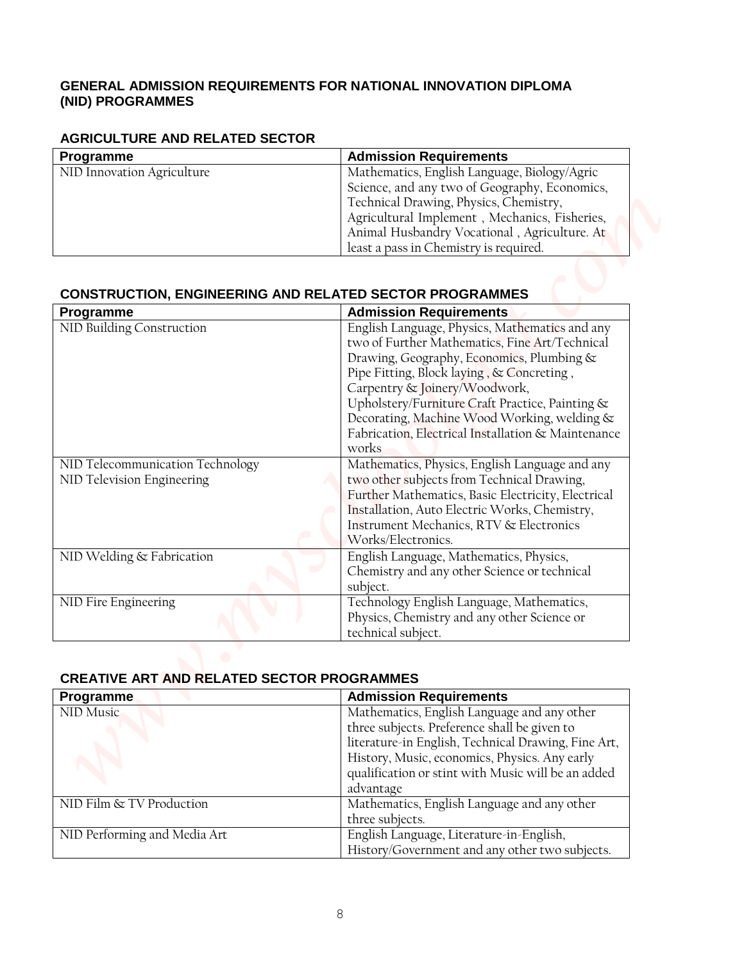#### **GENERAL ADMISSION REQUIREMENTS FOR NATIONAL INNOVATION DIPLOMA (NID) PROGRAMMES**

#### **AGRICULTURE AND RELATED SECTOR**

| Programme                  | <b>Admission Requirements</b>                 |
|----------------------------|-----------------------------------------------|
| NID Innovation Agriculture | Mathematics, English Language, Biology/Agric  |
|                            | Science, and any two of Geography, Economics, |
|                            | Technical Drawing, Physics, Chemistry,        |
|                            | Agricultural Implement, Mechanics, Fisheries, |
|                            | Animal Husbandry Vocational, Agriculture. At  |
|                            | least a pass in Chemistry is required.        |

## **CONSTRUCTION, ENGINEERING AND RELATED SECTOR PROGRAMMES**

| <b>AGRICULTURE AND RELATED SECTOR</b>             |                                                                                                                                   |
|---------------------------------------------------|-----------------------------------------------------------------------------------------------------------------------------------|
| Programme<br>NID Innovation Agriculture           | <b>Admission Requirements</b><br>Mathematics, English Language, Biology/Agric                                                     |
|                                                   | Science, and any two of Geography, Economics,                                                                                     |
|                                                   | Technical Drawing, Physics, Chemistry,                                                                                            |
|                                                   | Agricultural Implement, Mechanics, Fisheries,                                                                                     |
|                                                   | Animal Husbandry Vocational, Agriculture. At                                                                                      |
|                                                   | least a pass in Chemistry is required.                                                                                            |
| Programme<br>NID Building Construction            | <b>Admission Requirements</b><br>English Language, Physics, Mathematics and any<br>two of Further Mathematics, Fine Art/Technical |
|                                                   |                                                                                                                                   |
|                                                   | Drawing, Geography, Economics, Plumbing &                                                                                         |
|                                                   | Pipe Fitting, Block laying, & Concreting,                                                                                         |
|                                                   | Carpentry & Joinery/Woodwork,                                                                                                     |
|                                                   | Upholstery/Furniture Craft Practice, Painting &                                                                                   |
|                                                   | Decorating, Machine Wood Working, welding &                                                                                       |
|                                                   | Fabrication, Electrical Installation & Maintenance                                                                                |
|                                                   | works                                                                                                                             |
| NID Telecommunication Technology                  | Mathematics, Physics, English Language and any                                                                                    |
| NID Television Engineering                        | two other subjects from Technical Drawing,                                                                                        |
|                                                   | Further Mathematics, Basic Electricity, Electrical                                                                                |
|                                                   | Installation, Auto Electric Works, Chemistry,<br>Instrument Mechanics, RTV & Electronics                                          |
|                                                   | Works/Electronics.                                                                                                                |
| NID Welding & Fabrication                         | English Language, Mathematics, Physics,                                                                                           |
|                                                   | Chemistry and any other Science or technical                                                                                      |
|                                                   | subject.                                                                                                                          |
| NID Fire Engineering                              | Technology English Language, Mathematics,                                                                                         |
|                                                   | Physics, Chemistry and any other Science or                                                                                       |
|                                                   |                                                                                                                                   |
|                                                   | technical subject.                                                                                                                |
|                                                   |                                                                                                                                   |
| <b>CREATIVE ART AND RELATED SECTOR PROGRAMMES</b> |                                                                                                                                   |
|                                                   | <b>Admission Requirements</b>                                                                                                     |
|                                                   | Mathematics, English Language and any other                                                                                       |
|                                                   | three subjects. Preference shall be given to                                                                                      |
| Programme<br>NID Music                            | literature-in English, Technical Drawing, Fine Art,                                                                               |
|                                                   | History, Music, economics, Physics. Any early<br>qualification or stint with Music will be an added                               |

#### **CREATIVE ART AND RELATED SECTOR PROGRAMMES**

| Programme                    | <b>Admission Requirements</b>                       |
|------------------------------|-----------------------------------------------------|
| NID Music                    | Mathematics, English Language and any other         |
|                              | three subjects. Preference shall be given to        |
|                              | literature-in English, Technical Drawing, Fine Art, |
|                              | History, Music, economics, Physics. Any early       |
|                              | qualification or stint with Music will be an added  |
|                              | advantage                                           |
| NID Film & TV Production     | Mathematics, English Language and any other         |
|                              | three subjects.                                     |
| NID Performing and Media Art | English Language, Literature-in-English,            |
|                              | History/Government and any other two subjects.      |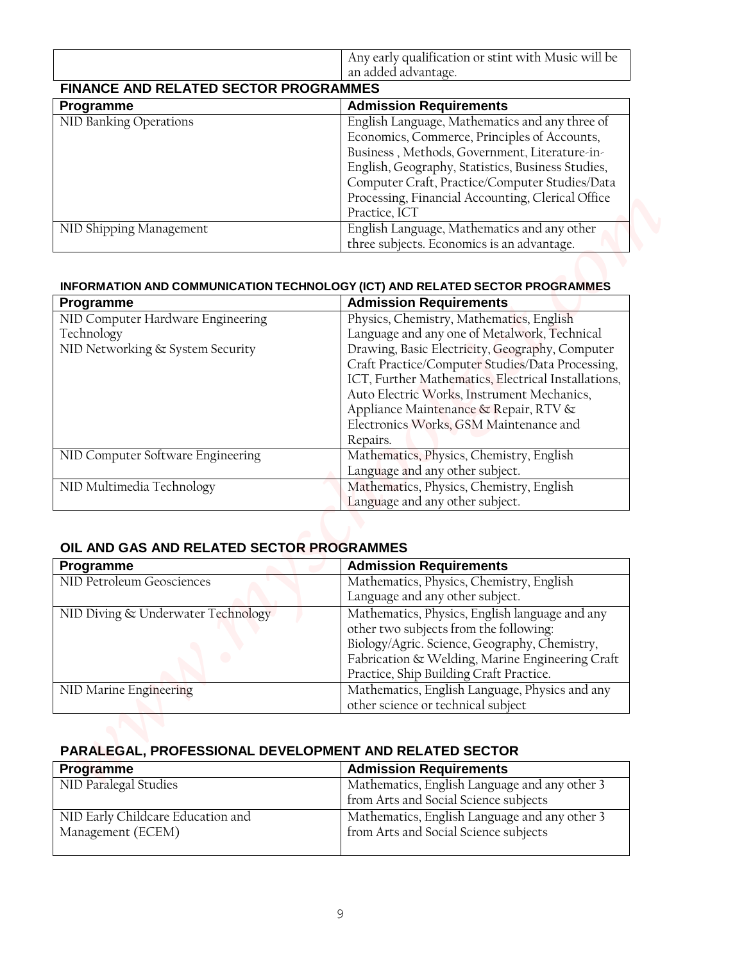|                                       | Any early qualification or stint with Music will be<br>an added advantage. |  |
|---------------------------------------|----------------------------------------------------------------------------|--|
| FINANCE AND RELATED SECTOR PROGRAMMES |                                                                            |  |
| Programme                             | <b>Admission Requirements</b>                                              |  |
| NID Banking Operations                | English Language, Mathematics and any three of                             |  |
|                                       | Economics, Commerce, Principles of Accounts,                               |  |
|                                       | Business, Methods, Government, Literature-in-                              |  |
|                                       | English, Geography, Statistics, Business Studies,                          |  |
|                                       | Computer Craft, Practice/Computer Studies/Data                             |  |
|                                       | Processing, Financial Accounting, Clerical Office                          |  |
|                                       | Practice, ICT                                                              |  |
| NID Shipping Management               | English Language, Mathematics and any other                                |  |
|                                       | three subjects. Economics is an advantage.                                 |  |

## **INFORMATION AND COMMUNICATION TECHNOLOGY (ICT) AND RELATED SECTOR PROGRAMMES**

| PARALEGAL, PROFESSIONAL DEVELOPMENT AND RELATED SECTOR<br><b>Programme</b> | <b>Admission Requirements</b>                                                                       |
|----------------------------------------------------------------------------|-----------------------------------------------------------------------------------------------------|
|                                                                            |                                                                                                     |
|                                                                            |                                                                                                     |
|                                                                            | other science or technical subject                                                                  |
| NID Marine Engineering                                                     | Mathematics, English Language, Physics and any                                                      |
|                                                                            | Practice, Ship Building Craft Practice.                                                             |
|                                                                            | Biology/Agric. Science, Geography, Chemistry,<br>Fabrication & Welding, Marine Engineering Craft    |
|                                                                            | other two subjects from the following:                                                              |
| NID Diving & Underwater Technology                                         | Mathematics, Physics, English language and any                                                      |
|                                                                            | Language and any other subject.                                                                     |
| Programme<br>NID Petroleum Geosciences                                     | <b>Admission Requirements</b><br>Mathematics, Physics, Chemistry, English                           |
| OIL AND GAS AND RELATED SECTOR PROGRAMMES                                  |                                                                                                     |
|                                                                            |                                                                                                     |
|                                                                            | Language and any other subject.                                                                     |
| NID Multimedia Technology                                                  | Mathematics, Physics, Chemistry, English                                                            |
|                                                                            | Language and any other subject.                                                                     |
| NID Computer Software Engineering                                          | Mathematics, Physics, Chemistry, English                                                            |
|                                                                            | Electronics Works, GSM Maintenance and<br>Repairs.                                                  |
|                                                                            | Appliance Maintenance & Repair, RTV &                                                               |
|                                                                            | Auto Electric Works, Instrument Mechanics,                                                          |
|                                                                            | ICT, Further Mathematics, Electrical Installations,                                                 |
|                                                                            | Craft Practice/Computer Studies/Data Processing,                                                    |
| NID Networking & System Security                                           | Drawing, Basic Electricity, Geography, Computer                                                     |
| NID Computer Hardware Engineering<br>Technology                            | Physics, Chemistry, Mathematics, English<br>Language and any one of Metalwork, Technical            |
| Programme                                                                  | <b>Admission Requirements</b>                                                                       |
|                                                                            | INFORMATION AND COMMUNICATION TECHNOLOGY (ICT) AND RELATED SECTOR PROGRAMMES                        |
|                                                                            | three subjects. Economics is an advantage.                                                          |
| NID Shipping Management                                                    | English Language, Mathematics and any other                                                         |
|                                                                            | Practice, ICT                                                                                       |
|                                                                            | Processing, Financial Accounting, Clerical Office                                                   |
|                                                                            | English, Geography, Statistics, Business Studies,<br>Computer Craft, Practice/Computer Studies/Data |
|                                                                            | Business, Methods, Government, Literature-in-                                                       |
|                                                                            | Economics, Commerce, Principles of Accounts,                                                        |
| NID Banking Operations                                                     | English Language, Mathematics and any three of                                                      |
| Programme                                                                  | <b>Admission Requirements</b>                                                                       |
| <b>FINANCE AND RELATED SECTOR PROGRAMMES</b>                               |                                                                                                     |
|                                                                            | an added advantage.                                                                                 |
|                                                                            | Any early qualification or stint with Music will be                                                 |

#### **OIL AND GAS AND RELATED SECTOR PROGRAMMES**

| Programme                          | <b>Admission Requirements</b>                   |
|------------------------------------|-------------------------------------------------|
| NID Petroleum Geosciences          | Mathematics, Physics, Chemistry, English        |
|                                    | Language and any other subject.                 |
| NID Diving & Underwater Technology | Mathematics, Physics, English language and any  |
|                                    | other two subjects from the following:          |
|                                    | Biology/Agric. Science, Geography, Chemistry,   |
|                                    | Fabrication & Welding, Marine Engineering Craft |
|                                    | Practice, Ship Building Craft Practice.         |
| NID Marine Engineering             | Mathematics, English Language, Physics and any  |
|                                    | other science or technical subject              |

## **PARALEGAL, PROFESSIONAL DEVELOPMENT AND RELATED SECTOR**

| <b>Programme</b>                  | <b>Admission Requirements</b>                 |
|-----------------------------------|-----------------------------------------------|
| NID Paralegal Studies             | Mathematics, English Language and any other 3 |
|                                   | from Arts and Social Science subjects         |
| NID Early Childcare Education and | Mathematics, English Language and any other 3 |
| Management (ECEM)                 | from Arts and Social Science subjects         |
|                                   |                                               |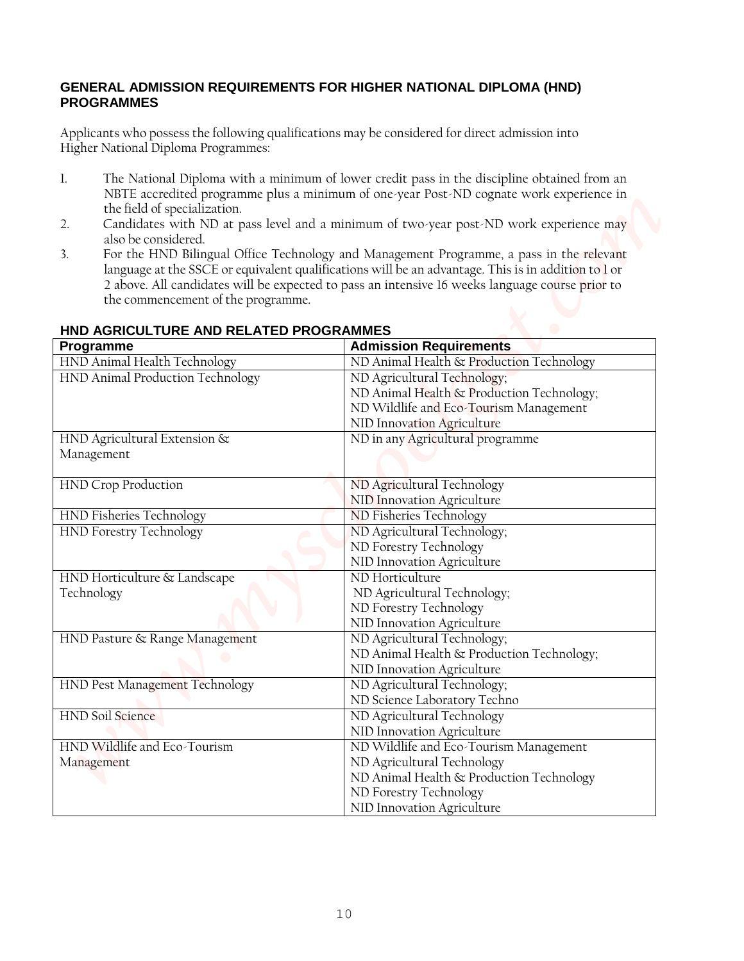#### **GENERAL ADMISSION REQUIREMENTS FOR HIGHER NATIONAL DIPLOMA (HND) PROGRAMMES**

- 1. The National Diploma with a minimum of lower credit pass in the discipline obtained from an NBTE accredited programme plus a minimum of one-year Post-ND cognate work experience in the field of specialization.
- 2. Candidates with ND at pass level and a minimum of two-year post-ND work experience may also be considered.
- 3. For the HND Bilingual Office Technology and Management Programme, a pass in the relevant language at the SSCE or equivalent qualifications will be an advantage. This is in addition to l or 2 above. All candidates will be expected to pass an intensive 16 weeks language course prior to the commencement of the programme.

| <b>PROGRAMMES</b>                                               | <b>GENERAL ADMISSION REQUIREMENTS FOR HIGHER NATIONAL DIPLOMA (HND)</b>                                                                                                                                                                                                                            |
|-----------------------------------------------------------------|----------------------------------------------------------------------------------------------------------------------------------------------------------------------------------------------------------------------------------------------------------------------------------------------------|
| Higher National Diploma Programmes:                             | Applicants who possess the following qualifications may be considered for direct admission into                                                                                                                                                                                                    |
| 1.<br>the field of specialization.<br>2.                        | The National Diploma with a minimum of lower credit pass in the discipline obtained from an<br>NBTE accredited programme plus a minimum of one-year Post-ND cognate work experience in<br>Candidates with ND at pass level and a minimum of two-year post-ND work experience may                   |
| also be considered.<br>3.<br>the commencement of the programme. | For the HND Bilingual Office Technology and Management Programme, a pass in the relevant<br>language at the SSCE or equivalent qualifications will be an advantage. This is in addition to 1 or<br>2 above. All candidates will be expected to pass an intensive 16 weeks language course prior to |
| HND AGRICULTURE AND RELATED PROGRAMMES<br>Programme             | <b>Admission Requirements</b>                                                                                                                                                                                                                                                                      |
| HND Animal Health Technology                                    | ND Animal Health & Production Technology                                                                                                                                                                                                                                                           |
| HND Animal Production Technology                                | ND Agricultural Technology;                                                                                                                                                                                                                                                                        |
|                                                                 | ND Animal Health & Production Technology;<br>ND Wildlife and Eco-Tourism Management<br>NID Innovation Agriculture                                                                                                                                                                                  |
| HND Agricultural Extension &<br>Management                      | ND in any Agricultural programme                                                                                                                                                                                                                                                                   |
| <b>HND Crop Production</b>                                      | ND Agricultural Technology<br>NID Innovation Agriculture                                                                                                                                                                                                                                           |
| HND Fisheries Technology                                        | ND Fisheries Technology                                                                                                                                                                                                                                                                            |
| <b>HND Forestry Technology</b>                                  | ND Agricultural Technology;<br>ND Forestry Technology<br>NID Innovation Agriculture                                                                                                                                                                                                                |
| HND Horticulture & Landscape<br>Technology                      | ND Horticulture<br>ND Agricultural Technology;<br>ND Forestry Technology<br>NID Innovation Agriculture                                                                                                                                                                                             |
| HND Pasture & Range Management                                  | ND Agricultural Technology;<br>ND Animal Health & Production Technology;<br>NID Innovation Agriculture                                                                                                                                                                                             |
| HND Pest Management Technology                                  | ND Agricultural Technology;<br>ND Science Laboratory Techno                                                                                                                                                                                                                                        |
| <b>HND Soil Science</b>                                         | ND Agricultural Technology<br>NID Innovation Agriculture                                                                                                                                                                                                                                           |
| HND Wildlife and Eco-Tourism<br>Management                      | ND Wildlife and Eco-Tourism Management<br>ND Agricultural Technology<br>ND Animal Health & Production Technology<br>ND Forestry Technology                                                                                                                                                         |

### **HND AGRICULTURE AND RELATED PROGRAMMES**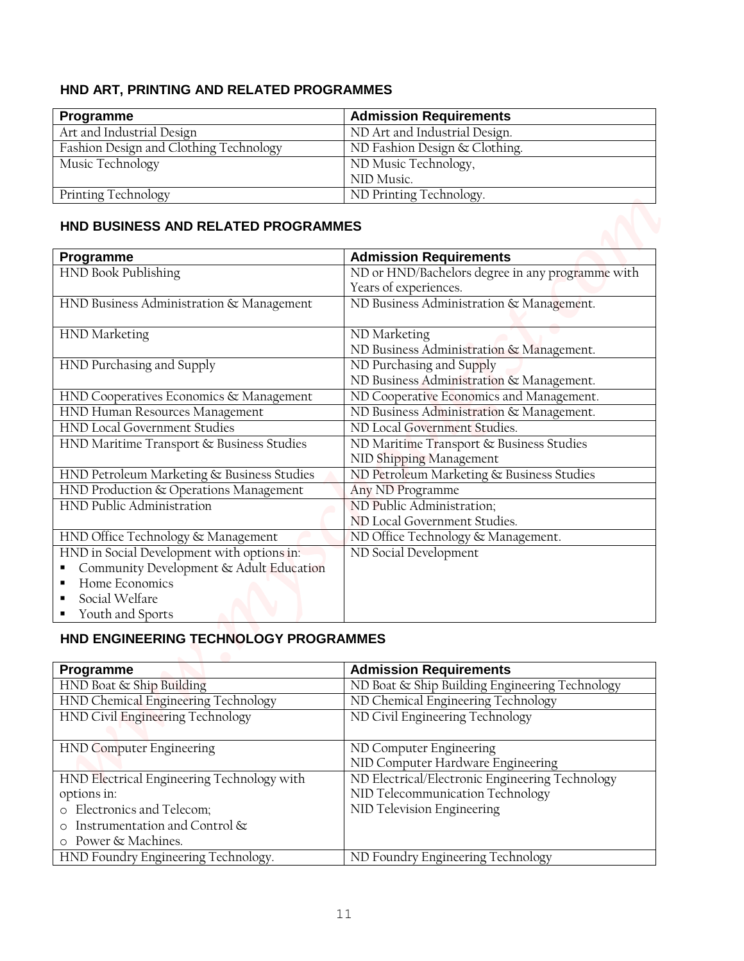# **HND ART, PRINTING AND RELATED PROGRAMMES**

| Programme                              | <b>Admission Requirements</b> |
|----------------------------------------|-------------------------------|
| Art and Industrial Design              | ND Art and Industrial Design. |
| Fashion Design and Clothing Technology | ND Fashion Design & Clothing. |
| Music Technology                       | ND Music Technology,          |
|                                        | NID Music.                    |
| Printing Technology                    | ND Printing Technology.       |

#### **HND BUSINESS AND RELATED PROGRAMMES**

| HND ART, PRINTING AND RELATED PROGRAMMES                  |                                                  |
|-----------------------------------------------------------|--------------------------------------------------|
|                                                           |                                                  |
| Programme                                                 | <b>Admission Requirements</b>                    |
| Art and Industrial Design                                 | ND Art and Industrial Design.                    |
| Fashion Design and Clothing Technology                    | ND Fashion Design & Clothing.                    |
| Music Technology                                          | ND Music Technology,                             |
|                                                           | NID Music.                                       |
| <b>Printing Technology</b>                                | ND Printing Technology.                          |
| HND BUSINESS AND RELATED PROGRAMMES                       |                                                  |
| Programme                                                 | <b>Admission Requirements</b>                    |
| HND Book Publishing                                       | ND or HND/Bachelors degree in any programme with |
|                                                           | Years of experiences.                            |
| HND Business Administration & Management                  | ND Business Administration & Management.         |
| HND Marketing                                             | ND Marketing                                     |
|                                                           | ND Business Administration & Management.         |
| HND Purchasing and Supply                                 | ND Purchasing and Supply                         |
|                                                           | ND Business Administration & Management.         |
| HND Cooperatives Economics & Management                   | ND Cooperative Economics and Management.         |
| HND Human Resources Management                            | ND Business Administration & Management.         |
| <b>HND Local Government Studies</b>                       | ND Local Government Studies.                     |
| HND Maritime Transport & Business Studies                 | ND Maritime Transport & Business Studies         |
|                                                           | NID Shipping Management                          |
| HND Petroleum Marketing & Business Studies                | ND Petroleum Marketing & Business Studies        |
| HND Production & Operations Management                    | Any ND Programme                                 |
| HND Public Administration                                 | ND Public Administration;                        |
|                                                           | ND Local Government Studies.                     |
| HND Office Technology & Management                        | ND Office Technology & Management.               |
| HND in Social Development with options in:                | ND Social Development                            |
| Community Development & Adult Education<br>$\blacksquare$ |                                                  |
| Home Economics                                            |                                                  |
| Social Welfare<br>п                                       |                                                  |
| Youth and Sports                                          |                                                  |
| HND ENGINEERING TECHNOLOGY PROGRAMMES                     |                                                  |
|                                                           |                                                  |
| Programme                                                 | <b>Admission Requirements</b>                    |
| HND Boat & Ship Building                                  | ND Boat & Ship Building Engineering Technology   |
| HND Chemical Engineering Technology                       | ND Chemical Engineering Technology               |
| HND Civil Engineering Technology                          | ND Civil Engineering Technology                  |
| <b>HND Computer Engineering</b>                           | ND Computer Engineering                          |
|                                                           | NID Computer Hardware Engineering                |
| HND Electrical Engineering Technology with                | ND Electrical/Electronic Engineering Technology  |

## **HND ENGINEERING TECHNOLOGY PROGRAMMES**

| Programme                                  | <b>Admission Requirements</b>                   |
|--------------------------------------------|-------------------------------------------------|
| HND Boat & Ship Building                   | ND Boat & Ship Building Engineering Technology  |
| HND Chemical Engineering Technology        | ND Chemical Engineering Technology              |
| HND Civil Engineering Technology           | ND Civil Engineering Technology                 |
|                                            |                                                 |
| <b>HND Computer Engineering</b>            | ND Computer Engineering                         |
|                                            | NID Computer Hardware Engineering               |
| HND Electrical Engineering Technology with | ND Electrical/Electronic Engineering Technology |
| options in:                                | NID Telecommunication Technology                |
| o Electronics and Telecom;                 | NID Television Engineering                      |
| Instrumentation and Control &              |                                                 |
| o Power & Machines.                        |                                                 |
| HND Foundry Engineering Technology.        | ND Foundry Engineering Technology               |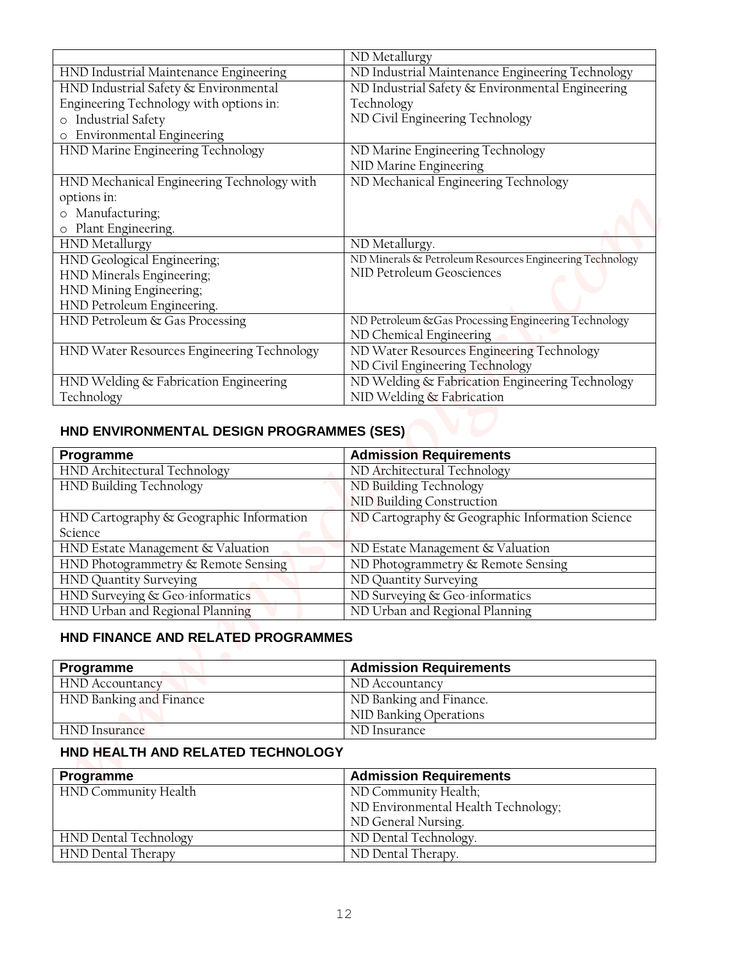|                                                                                                                                                                                                                                                                                                                                                                                                                                                             | ND Metallurgy                                                                   |
|-------------------------------------------------------------------------------------------------------------------------------------------------------------------------------------------------------------------------------------------------------------------------------------------------------------------------------------------------------------------------------------------------------------------------------------------------------------|---------------------------------------------------------------------------------|
| HND Industrial Maintenance Engineering                                                                                                                                                                                                                                                                                                                                                                                                                      | ND Industrial Maintenance Engineering Technology                                |
| HND Industrial Safety & Environmental                                                                                                                                                                                                                                                                                                                                                                                                                       | ND Industrial Safety & Environmental Engineering                                |
| Engineering Technology with options in:                                                                                                                                                                                                                                                                                                                                                                                                                     | Technology                                                                      |
| o Industrial Safety                                                                                                                                                                                                                                                                                                                                                                                                                                         | ND Civil Engineering Technology                                                 |
| Environmental Engineering<br>$\circ$                                                                                                                                                                                                                                                                                                                                                                                                                        |                                                                                 |
| HND Marine Engineering Technology                                                                                                                                                                                                                                                                                                                                                                                                                           | ND Marine Engineering Technology<br>NID Marine Engineering                      |
| HND Mechanical Engineering Technology with                                                                                                                                                                                                                                                                                                                                                                                                                  | ND Mechanical Engineering Technology                                            |
| options in:                                                                                                                                                                                                                                                                                                                                                                                                                                                 |                                                                                 |
| o Manufacturing;                                                                                                                                                                                                                                                                                                                                                                                                                                            |                                                                                 |
| o Plant Engineering.                                                                                                                                                                                                                                                                                                                                                                                                                                        |                                                                                 |
| <b>HND</b> Metallurgy                                                                                                                                                                                                                                                                                                                                                                                                                                       | ND Metallurgy.                                                                  |
| HND Geological Engineering;                                                                                                                                                                                                                                                                                                                                                                                                                                 | ND Minerals & Petroleum Resources Engineering Technology                        |
| HND Minerals Engineering;                                                                                                                                                                                                                                                                                                                                                                                                                                   | NID Petroleum Geosciences                                                       |
| HND Mining Engineering;                                                                                                                                                                                                                                                                                                                                                                                                                                     |                                                                                 |
| HND Petroleum Engineering.                                                                                                                                                                                                                                                                                                                                                                                                                                  |                                                                                 |
| HND Petroleum & Gas Processing                                                                                                                                                                                                                                                                                                                                                                                                                              | ND Petroleum & Gas Processing Engineering Technology<br>ND Chemical Engineering |
| HND Water Resources Engineering Technology                                                                                                                                                                                                                                                                                                                                                                                                                  | ND Water Resources Engineering Technology                                       |
|                                                                                                                                                                                                                                                                                                                                                                                                                                                             | ND Civil Engineering Technology                                                 |
| HND Welding & Fabrication Engineering                                                                                                                                                                                                                                                                                                                                                                                                                       | ND Welding & Fabrication Engineering Technology                                 |
|                                                                                                                                                                                                                                                                                                                                                                                                                                                             |                                                                                 |
|                                                                                                                                                                                                                                                                                                                                                                                                                                                             | NID Welding & Fabrication                                                       |
| HND ENVIRONMENTAL DESIGN PROGRAMMES (SES)                                                                                                                                                                                                                                                                                                                                                                                                                   | <b>Admission Requirements</b>                                                   |
|                                                                                                                                                                                                                                                                                                                                                                                                                                                             | ND Architectural Technology                                                     |
|                                                                                                                                                                                                                                                                                                                                                                                                                                                             | ND Building Technology                                                          |
|                                                                                                                                                                                                                                                                                                                                                                                                                                                             | NID Building Construction                                                       |
|                                                                                                                                                                                                                                                                                                                                                                                                                                                             | ND Cartography & Geographic Information Science                                 |
|                                                                                                                                                                                                                                                                                                                                                                                                                                                             | ND Estate Management & Valuation                                                |
|                                                                                                                                                                                                                                                                                                                                                                                                                                                             | ND Photogrammetry & Remote Sensing                                              |
|                                                                                                                                                                                                                                                                                                                                                                                                                                                             | ND Quantity Surveying                                                           |
|                                                                                                                                                                                                                                                                                                                                                                                                                                                             | ND Surveying & Geo-informatics                                                  |
|                                                                                                                                                                                                                                                                                                                                                                                                                                                             | ND Urban and Regional Planning                                                  |
| HND FINANCE AND RELATED PROGRAMMES                                                                                                                                                                                                                                                                                                                                                                                                                          |                                                                                 |
|                                                                                                                                                                                                                                                                                                                                                                                                                                                             |                                                                                 |
|                                                                                                                                                                                                                                                                                                                                                                                                                                                             | <b>Admission Requirements</b>                                                   |
|                                                                                                                                                                                                                                                                                                                                                                                                                                                             | ND Accountancy                                                                  |
|                                                                                                                                                                                                                                                                                                                                                                                                                                                             | ND Banking and Finance.                                                         |
|                                                                                                                                                                                                                                                                                                                                                                                                                                                             | NID Banking Operations                                                          |
| HND HEALTH AND RELATED TECHNOLOGY                                                                                                                                                                                                                                                                                                                                                                                                                           | ND Insurance                                                                    |
|                                                                                                                                                                                                                                                                                                                                                                                                                                                             |                                                                                 |
|                                                                                                                                                                                                                                                                                                                                                                                                                                                             | <b>Admission Requirements</b>                                                   |
| Technology<br>Programme<br>HND Architectural Technology<br>HND Building Technology<br>HND Cartography & Geographic Information<br>Science<br>HND Estate Management & Valuation<br>HND Photogrammetry & Remote Sensing<br><b>HND Quantity Surveying</b><br>HND Surveying & Geo-informatics<br>HND Urban and Regional Planning<br>Programme<br><b>HND</b> Accountancy<br>HND Banking and Finance<br><b>HND</b> Insurance<br>Programme<br>HND Community Health | ND Community Health;                                                            |
|                                                                                                                                                                                                                                                                                                                                                                                                                                                             | ND Environmental Health Technology;                                             |
| HND Dental Technology                                                                                                                                                                                                                                                                                                                                                                                                                                       | ND General Nursing.<br>ND Dental Technology.                                    |
| HND Dental Therapy                                                                                                                                                                                                                                                                                                                                                                                                                                          | ND Dental Therapy.                                                              |

### **HND ENVIRONMENTAL DESIGN PROGRAMMES (SES)**

| Programme                                | <b>Admission Requirements</b>                   |
|------------------------------------------|-------------------------------------------------|
| HND Architectural Technology             | ND Architectural Technology                     |
| HND Building Technology                  | ND Building Technology                          |
|                                          | NID Building Construction                       |
| HND Cartography & Geographic Information | ND Cartography & Geographic Information Science |
| Science                                  |                                                 |
| HND Estate Management & Valuation        | ND Estate Management & Valuation                |
| HND Photogrammetry & Remote Sensing      | ND Photogrammetry & Remote Sensing              |
| HND Quantity Surveying                   | ND Quantity Surveying                           |
| HND Surveying & Geo-informatics          | ND Surveying & Geo-informatics                  |
| HND Urban and Regional Planning          | ND Urban and Regional Planning                  |

## **HND FINANCE AND RELATED PROGRAMMES**

| <b>Programme</b>        | <b>Admission Requirements</b> |
|-------------------------|-------------------------------|
| <b>HND</b> Accountancy  | ND Accountancy                |
| HND Banking and Finance | ND Banking and Finance.       |
|                         | NID Banking Operations        |
| HND Insurance           | ND Insurance                  |

## **HND HEALTH AND RELATED TECHNOLOGY**

| Programme             | <b>Admission Requirements</b>       |
|-----------------------|-------------------------------------|
| HND Community Health  | ND Community Health;                |
|                       | ND Environmental Health Technology; |
|                       | ND General Nursing.                 |
| HND Dental Technology | ND Dental Technology.               |
| HND Dental Therapy    | ND Dental Therapy.                  |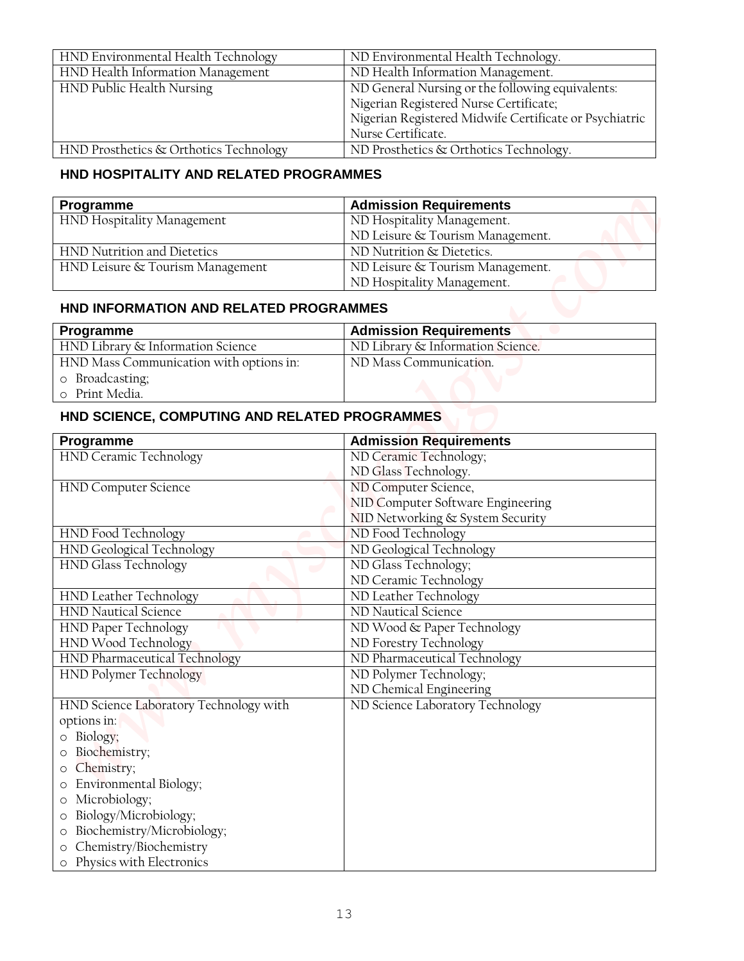| HND Environmental Health Technology    | ND Environmental Health Technology.                    |
|----------------------------------------|--------------------------------------------------------|
| HND Health Information Management      | ND Health Information Management.                      |
| HND Public Health Nursing              | ND General Nursing or the following equivalents:       |
|                                        | Nigerian Registered Nurse Certificate;                 |
|                                        | Nigerian Registered Midwife Certificate or Psychiatric |
|                                        | Nurse Certificate.                                     |
| HND Prosthetics & Orthotics Technology | ND Prosthetics & Orthotics Technology.                 |

## **HND HOSPITALITY AND RELATED PROGRAMMES**

| Programme                        | <b>Admission Requirements</b>    |
|----------------------------------|----------------------------------|
| HND Hospitality Management       | ND Hospitality Management.       |
|                                  | ND Leisure & Tourism Management. |
| HND Nutrition and Dietetics      | ND Nutrition & Dietetics.        |
| HND Leisure & Tourism Management | ND Leisure & Tourism Management. |
|                                  | ND Hospitality Management.       |

## **HND INFORMATION AND RELATED PROGRAMMES**

| Programme                               | <b>Admission Requirements</b>     |
|-----------------------------------------|-----------------------------------|
| HND Library & Information Science       | ND Library & Information Science. |
| HND Mass Communication with options in: | ND Mass Communication.            |
| o Broadcasting;                         |                                   |
| o Print Media.                          |                                   |

# **HND SCIENCE, COMPUTING AND RELATED PROGRAMMES**

| HND Environmental Health Technology                                                                                                                                                                                                                                                                                                                     | ND Environmental Health Technology.                                                              |
|---------------------------------------------------------------------------------------------------------------------------------------------------------------------------------------------------------------------------------------------------------------------------------------------------------------------------------------------------------|--------------------------------------------------------------------------------------------------|
| HND Health Information Management                                                                                                                                                                                                                                                                                                                       | ND Health Information Management.                                                                |
| HND Public Health Nursing                                                                                                                                                                                                                                                                                                                               | ND General Nursing or the following equivalents:                                                 |
|                                                                                                                                                                                                                                                                                                                                                         | Nigerian Registered Nurse Certificate;<br>Nigerian Registered Midwife Certificate or Psychiatric |
|                                                                                                                                                                                                                                                                                                                                                         | Nurse Certificate.                                                                               |
| HND Prosthetics & Orthotics Technology                                                                                                                                                                                                                                                                                                                  | ND Prosthetics & Orthotics Technology.                                                           |
| HND HOSPITALITY AND RELATED PROGRAMMES                                                                                                                                                                                                                                                                                                                  |                                                                                                  |
| Programme                                                                                                                                                                                                                                                                                                                                               | <b>Admission Requirements</b>                                                                    |
| HND Hospitality Management                                                                                                                                                                                                                                                                                                                              | ND Hospitality Management.                                                                       |
|                                                                                                                                                                                                                                                                                                                                                         | ND Leisure & Tourism Management.                                                                 |
| HND Nutrition and Dietetics                                                                                                                                                                                                                                                                                                                             | ND Nutrition & Dietetics.                                                                        |
| HND Leisure & Tourism Management                                                                                                                                                                                                                                                                                                                        | ND Leisure & Tourism Management.                                                                 |
|                                                                                                                                                                                                                                                                                                                                                         | ND Hospitality Management.                                                                       |
| HND INFORMATION AND RELATED PROGRAMMES                                                                                                                                                                                                                                                                                                                  |                                                                                                  |
| Programme                                                                                                                                                                                                                                                                                                                                               | <b>Admission Requirements</b>                                                                    |
| HND Library & Information Science                                                                                                                                                                                                                                                                                                                       | ND Library & Information Science.                                                                |
| HND Mass Communication with options in:                                                                                                                                                                                                                                                                                                                 | ND Mass Communication.                                                                           |
| o Broadcasting;                                                                                                                                                                                                                                                                                                                                         |                                                                                                  |
| Print Media.<br>$\circ$                                                                                                                                                                                                                                                                                                                                 |                                                                                                  |
| HND SCIENCE, COMPUTING AND RELATED PROGRAMMES                                                                                                                                                                                                                                                                                                           |                                                                                                  |
| Programme                                                                                                                                                                                                                                                                                                                                               | <b>Admission Requirements</b>                                                                    |
| HND Ceramic Technology                                                                                                                                                                                                                                                                                                                                  | ND Ceramic Technology;                                                                           |
|                                                                                                                                                                                                                                                                                                                                                         | ND Glass Technology.                                                                             |
| <b>HND Computer Science</b>                                                                                                                                                                                                                                                                                                                             | ND Computer Science,                                                                             |
|                                                                                                                                                                                                                                                                                                                                                         | NID Computer Software Engineering                                                                |
|                                                                                                                                                                                                                                                                                                                                                         | NID Networking & System Security                                                                 |
|                                                                                                                                                                                                                                                                                                                                                         |                                                                                                  |
|                                                                                                                                                                                                                                                                                                                                                         | ND Food Technology                                                                               |
|                                                                                                                                                                                                                                                                                                                                                         | ND Geological Technology                                                                         |
|                                                                                                                                                                                                                                                                                                                                                         | ND Glass Technology;                                                                             |
|                                                                                                                                                                                                                                                                                                                                                         | ND Ceramic Technology                                                                            |
|                                                                                                                                                                                                                                                                                                                                                         | ND Leather Technology                                                                            |
|                                                                                                                                                                                                                                                                                                                                                         | ND Nautical Science                                                                              |
|                                                                                                                                                                                                                                                                                                                                                         | ND Wood & Paper Technology                                                                       |
|                                                                                                                                                                                                                                                                                                                                                         | ND Forestry Technology                                                                           |
|                                                                                                                                                                                                                                                                                                                                                         | ND Pharmaceutical Technology                                                                     |
|                                                                                                                                                                                                                                                                                                                                                         | ND Polymer Technology;                                                                           |
|                                                                                                                                                                                                                                                                                                                                                         | ND Chemical Engineering                                                                          |
|                                                                                                                                                                                                                                                                                                                                                         | ND Science Laboratory Technology                                                                 |
|                                                                                                                                                                                                                                                                                                                                                         |                                                                                                  |
|                                                                                                                                                                                                                                                                                                                                                         |                                                                                                  |
| Biochemistry;<br>$\circ$                                                                                                                                                                                                                                                                                                                                |                                                                                                  |
| o Biology;<br>Chemistry;<br>O                                                                                                                                                                                                                                                                                                                           |                                                                                                  |
| HND Food Technology<br>HND Geological Technology<br><b>HND Glass Technology</b><br>HND Leather Technology<br><b>HND Nautical Science</b><br><b>HND Paper Technology</b><br>HND Wood Technology<br>HND Pharmaceutical Technology<br>HND Polymer Technology<br>HND Science Laboratory Technology with<br>options in:<br>Environmental Biology;<br>$\circ$ |                                                                                                  |
| Microbiology;<br>$\circ$                                                                                                                                                                                                                                                                                                                                |                                                                                                  |
| Biology/Microbiology;<br>$\circ$                                                                                                                                                                                                                                                                                                                        |                                                                                                  |
| Biochemistry/Microbiology;<br>$\circ$<br>$\circ$                                                                                                                                                                                                                                                                                                        |                                                                                                  |
| Chemistry/Biochemistry<br>o Physics with Electronics                                                                                                                                                                                                                                                                                                    |                                                                                                  |